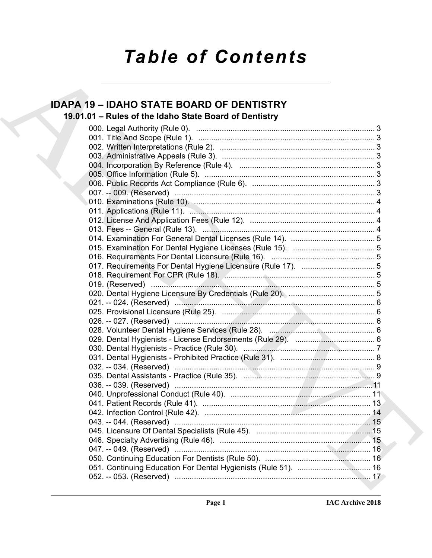# *Table of Contents*

## **IDAPA 19 – IDAHO STATE BOARD OF DENTISTRY**

## **19.01.01 – Rules of the Idaho State Board of Dentistry**

| <b>IDAPA 19 - IDAHO STATE BOARD OF DENTISTRY</b>       |  |
|--------------------------------------------------------|--|
| 19.01.01 - Rules of the Idaho State Board of Dentistry |  |
|                                                        |  |
|                                                        |  |
|                                                        |  |
|                                                        |  |
|                                                        |  |
|                                                        |  |
|                                                        |  |
|                                                        |  |
|                                                        |  |
|                                                        |  |
|                                                        |  |
|                                                        |  |
|                                                        |  |
|                                                        |  |
|                                                        |  |
|                                                        |  |
|                                                        |  |
|                                                        |  |
|                                                        |  |
|                                                        |  |
|                                                        |  |
|                                                        |  |
|                                                        |  |
|                                                        |  |
|                                                        |  |
|                                                        |  |
|                                                        |  |
|                                                        |  |
|                                                        |  |
|                                                        |  |
|                                                        |  |
|                                                        |  |
|                                                        |  |
|                                                        |  |
|                                                        |  |
|                                                        |  |
|                                                        |  |
|                                                        |  |
|                                                        |  |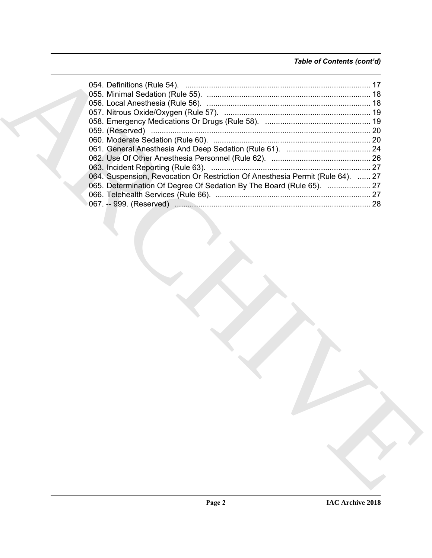### *Table of Contents (cont'd)*

| 064. Suspension, Revocation Or Restriction Of Anesthesia Permit (Rule 64).  27 |
|--------------------------------------------------------------------------------|
| 065. Determination Of Degree Of Sedation By The Board (Rule 65).  27           |
|                                                                                |
|                                                                                |
|                                                                                |
|                                                                                |
|                                                                                |
|                                                                                |
|                                                                                |
|                                                                                |
|                                                                                |
|                                                                                |
|                                                                                |
|                                                                                |
|                                                                                |
|                                                                                |
|                                                                                |
|                                                                                |
|                                                                                |
|                                                                                |
|                                                                                |
|                                                                                |
|                                                                                |
|                                                                                |
|                                                                                |
|                                                                                |
|                                                                                |
|                                                                                |
|                                                                                |
|                                                                                |
|                                                                                |
|                                                                                |
|                                                                                |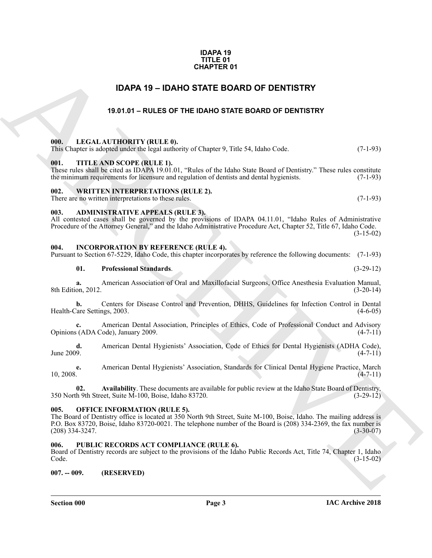### **IDAPA 19 TITLE 01 CHAPTER 01**

### **IDAPA 19 – IDAHO STATE BOARD OF DENTISTRY**

### **19.01.01 – RULES OF THE IDAHO STATE BOARD OF DENTISTRY**

### <span id="page-2-12"></span><span id="page-2-2"></span><span id="page-2-1"></span>**000. LEGAL AUTHORITY (RULE 0).**

<span id="page-2-15"></span>

|     |                           | This Chapter is adopted under the legal authority of Chapter 9, Title 54, Idaho Code. | $(7-1-93)$ |
|-----|---------------------------|---------------------------------------------------------------------------------------|------------|
| 001 | TITLE AND SCOPE (RULE 1). |                                                                                       |            |

<span id="page-2-3"></span>These rules shall be cited as IDAPA 19.01.01, "Rules of the Idaho State Board of Dentistry." These rules constitute the minimum requirements for licensure and regulation of dentists and dental hygienists. (7-1-93)

### <span id="page-2-16"></span><span id="page-2-4"></span>**002. WRITTEN INTERPRETATIONS (RULE 2).**

There are no written interpretations to these rules. (7-1-93)

### <span id="page-2-10"></span><span id="page-2-5"></span>**003. ADMINISTRATIVE APPEALS (RULE 3).**

All contested cases shall be governed by the provisions of IDAPA 04.11.01, "Idaho Rules of Administrative Procedure of the Attorney General," and the Idaho Administrative Procedure Act, Chapter 52, Title 67, Idaho Code. (3-15-02)

### <span id="page-2-11"></span><span id="page-2-6"></span>**004. INCORPORATION BY REFERENCE (RULE 4).**

Pursuant to Section 67-5229, Idaho Code, this chapter incorporates by reference the following documents: (7-1-93)

### **01. Professional Standards**. (3-29-12)

**a.** American Association of Oral and Maxillofacial Surgeons, Office Anesthesia Evaluation Manual, on, 2012. (3-20-14) 8th Edition, 2012.

**b.** Centers for Disease Control and Prevention, DHHS, Guidelines for Infection Control in Dental Health-Care Settings, 2003. (4-6-05)

**c.** American Dental Association, Principles of Ethics, Code of Professional Conduct and Advisory Opinions (ADA Code), January 2009. (4-7-11)

**d.** American Dental Hygienists' Association, Code of Ethics for Dental Hygienists (ADHA Code), (4-7-11)  $\mu$  June 2009. (4-7-11)

**e.** American Dental Hygienists' Association, Standards for Clinical Dental Hygiene Practice, March  $10, 2008.$  (4-7-11)

**02. Availability**. These documents are available for public review at the Idaho State Board of Dentistry, 350 North 9th Street, Suite M-100, Boise, Idaho 83720. (3-29-12)

### <span id="page-2-13"></span><span id="page-2-7"></span>**005. OFFICE INFORMATION (RULE 5).**

<span id="page-2-0"></span>**EDAPER 19**<br> **EDAPA 19 - IDANO STATE BOARD OF DENTISTRY**<br> **19.441.61 - RULES OF THE IDANO STATE BOARD OF DENTISTRY**<br> **19.641.11 - ARCHIVEN TRANCH AND STATE BOARD OF DENTISTRY**<br> **19.641.61** - IPCLA ARCHIVEN TRANCH AND STAT The Board of Dentistry office is located at 350 North 9th Street, Suite M-100, Boise, Idaho. The mailing address is P.O. Box 83720, Boise, Idaho 83720-0021. The telephone number of the Board is (208) 334-2369, the fax number is (208) 334-3247. (3-30-07)

### <span id="page-2-14"></span><span id="page-2-8"></span>PUBLIC RECORDS ACT COMPLIANCE (RULE 6).

Board of Dentistry records are subject to the provisions of the Idaho Public Records Act, Title 74, Chapter 1, Idaho Code. (3-15-02)

<span id="page-2-9"></span>**007. -- 009. (RESERVED)**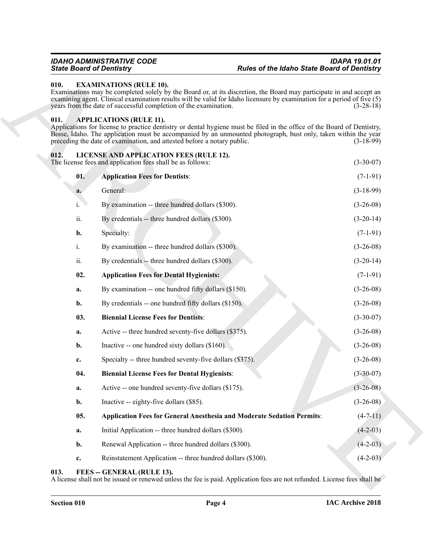### <span id="page-3-5"></span><span id="page-3-0"></span>**010. EXAMINATIONS (RULE 10).**

### <span id="page-3-4"></span><span id="page-3-1"></span>**011. APPLICATIONS (RULE 11).**

### <span id="page-3-12"></span><span id="page-3-9"></span><span id="page-3-8"></span><span id="page-3-7"></span><span id="page-3-2"></span>**012. LICENSE AND APPLICATION FEES (RULE 12).**

| 010.        | <b>EXAMINATIONS (RULE 10).</b><br>Examinations may be completed solely by the Board or, at its discretion, the Board may participate in and accept an<br>examining agent. Clinical examination results will be valid for Idaho licensure by examination for a period of five (5)<br>years from the date of successful completion of the examination.   | $(3-28-18)$ |
|-------------|--------------------------------------------------------------------------------------------------------------------------------------------------------------------------------------------------------------------------------------------------------------------------------------------------------------------------------------------------------|-------------|
| 011.        | <b>APPLICATIONS (RULE 11).</b><br>Applications for license to practice dentistry or dental hygiene must be filed in the office of the Board of Dentistry,<br>Boise, Idaho. The application must be accompanied by an unmounted photograph, bust only, taken within the year<br>preceding the date of examination, and attested before a notary public. | $(3-18-99)$ |
| 012.        | LICENSE AND APPLICATION FEES (RULE 12).<br>The license fees and application fees shall be as follows:                                                                                                                                                                                                                                                  | $(3-30-07)$ |
| 01.         | <b>Application Fees for Dentists:</b>                                                                                                                                                                                                                                                                                                                  | $(7-1-91)$  |
| a.          | General:                                                                                                                                                                                                                                                                                                                                               | $(3-18-99)$ |
| i.          | By examination -- three hundred dollars (\$300).                                                                                                                                                                                                                                                                                                       | $(3-26-08)$ |
| ii.         | By credentials -- three hundred dollars (\$300).                                                                                                                                                                                                                                                                                                       | $(3-20-14)$ |
| b.          | Specialty:                                                                                                                                                                                                                                                                                                                                             | $(7-1-91)$  |
| i.          | By examination -- three hundred dollars (\$300).                                                                                                                                                                                                                                                                                                       | $(3-26-08)$ |
| ii.         | By credentials -- three hundred dollars (\$300).                                                                                                                                                                                                                                                                                                       | $(3-20-14)$ |
| 02.         | <b>Application Fees for Dental Hygienists:</b>                                                                                                                                                                                                                                                                                                         | $(7-1-91)$  |
| a.          | By examination -- one hundred fifty dollars (\$150).                                                                                                                                                                                                                                                                                                   | $(3-26-08)$ |
| b.          | By credentials -- one hundred fifty dollars (\$150).                                                                                                                                                                                                                                                                                                   | $(3-26-08)$ |
| 03.         | <b>Biennial License Fees for Dentists:</b>                                                                                                                                                                                                                                                                                                             | $(3-30-07)$ |
| a.          | Active -- three hundred seventy-five dollars (\$375).                                                                                                                                                                                                                                                                                                  | $(3-26-08)$ |
| b.          | Inactive -- one hundred sixty dollars (\$160).                                                                                                                                                                                                                                                                                                         | $(3-26-08)$ |
| $c_{\cdot}$ | Specialty -- three hundred seventy-five dollars (\$375).                                                                                                                                                                                                                                                                                               | $(3-26-08)$ |
| 04.         | <b>Biennial License Fees for Dental Hygienists:</b>                                                                                                                                                                                                                                                                                                    | $(3-30-07)$ |
| a.          | Active -- one hundred seventy-five dollars (\$175).                                                                                                                                                                                                                                                                                                    | $(3-26-08)$ |
| b.          | Inactive -- eighty-five dollars (\$85).                                                                                                                                                                                                                                                                                                                | $(3-26-08)$ |
| 05.         | <b>Application Fees for General Anesthesia and Moderate Sedation Permits:</b>                                                                                                                                                                                                                                                                          | $(4-7-11)$  |
| a.          | Initial Application -- three hundred dollars (\$300).                                                                                                                                                                                                                                                                                                  | $(4-2-03)$  |
| b.          | Renewal Application -- three hundred dollars (\$300).                                                                                                                                                                                                                                                                                                  | $(4-2-03)$  |
| c.          | Reinstatement Application -- three hundred dollars (\$300).                                                                                                                                                                                                                                                                                            | $(4-2-03)$  |

### <span id="page-3-11"></span><span id="page-3-10"></span><span id="page-3-6"></span><span id="page-3-3"></span>**013. FEES -- GENERAL (RULE 13).**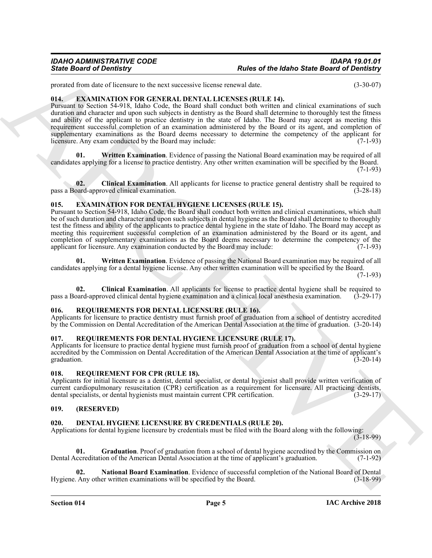prorated from date of licensure to the next successive license renewal date. (3-30-07)

### <span id="page-4-13"></span><span id="page-4-0"></span>**014. EXAMINATION FOR GENERAL DENTAL LICENSES (RULE 14).**

Since Board of Development to the text of the same velocity and the same Board of Development to the same of the same of the same of the same of the same of the same of the same of the same of the same of the same of the Pursuant to Section 54-918, Idaho Code, the Board shall conduct both written and clinical examinations of such duration and character and upon such subjects in dentistry as the Board shall determine to thoroughly test the fitness and ability of the applicant to practice dentistry in the state of Idaho. The Board may accept as meeting this requirement successful completion of an examination administered by the Board or its agent, and completion of supplementary examinations as the Board deems necessary to determine the competency of the applicant for licensure. Any exam conducted by the Board may include: (7-1-93)

<span id="page-4-15"></span>**01. Written Examination**. Evidence of passing the National Board examination may be required of all candidates applying for a license to practice dentistry. Any other written examination will be specified by the Board.  $(7-1-93)$ 

<span id="page-4-14"></span>**02.** Clinical Examination. All applicants for license to practice general dentistry shall be required to pard-approved clinical examination. (3-28-18) pass a Board-approved clinical examination.

### <span id="page-4-10"></span><span id="page-4-1"></span>**015. EXAMINATION FOR DENTAL HYGIENE LICENSES (RULE 15).**

Pursuant to Section 54-918, Idaho Code, the Board shall conduct both written and clinical examinations, which shall be of such duration and character and upon such subjects in dental hygiene as the Board shall determine to thoroughly test the fitness and ability of the applicants to practice dental hygiene in the state of Idaho. The Board may accept as meeting this requirement successful completion of an examination administered by the Board or its agent, and completion of supplementary examinations as the Board deems necessary to determine the competency of the applicant for licensure. Any examination conducted by the Board may include: (7-1-93)

<span id="page-4-12"></span>**01. Written Examination**. Evidence of passing the National Board examination may be required of all candidates applying for a dental hygiene license. Any other written examination will be specified by the Board. (7-1-93)

<span id="page-4-11"></span>**02.** Clinical Examination. All applicants for license to practice dental hygiene shall be required to pard-approved clinical dental hygiene examination and a clinical local anesthesia examination. (3-29-17) pass a Board-approved clinical dental hygiene examination and a clinical local anesthesia examination.

### <span id="page-4-18"></span><span id="page-4-2"></span>**016. REQUIREMENTS FOR DENTAL LICENSURE (RULE 16).**

Applicants for licensure to practice dentistry must furnish proof of graduation from a school of dentistry accredited by the Commission on Dental Accreditation of the American Dental Association at the time of graduation. (3-20-14)

### <span id="page-4-17"></span><span id="page-4-3"></span>**017. REQUIREMENTS FOR DENTAL HYGIENE LICENSURE (RULE 17).**

Applicants for licensure to practice dental hygiene must furnish proof of graduation from a school of dental hygiene accredited by the Commission on Dental Accreditation of the American Dental Association at the time of applicant's graduation. (3-20-14) graduation.  $(3-20-14)$ 

### <span id="page-4-16"></span><span id="page-4-4"></span>**018. REQUIREMENT FOR CPR (RULE 18).**

Applicants for initial licensure as a dentist, dental specialist, or dental hygienist shall provide written verification of current cardiopulmonary resuscitation (CPR) certification as a requirement for licensure. All practicing dentists, dental specialists, or dental hygienists must maintain current CPR certification. (3-29-17)

### <span id="page-4-5"></span>**019. (RESERVED)**

### <span id="page-4-7"></span><span id="page-4-6"></span>**020. DENTAL HYGIENE LICENSURE BY CREDENTIALS (RULE 20).**

Applications for dental hygiene licensure by credentials must be filed with the Board along with the following: (3-18-99)

<span id="page-4-8"></span>**01. Graduation**. Proof of graduation from a school of dental hygiene accredited by the Commission on Dental Accreditation of the American Dental Association at the time of applicant's graduation. (7-1-92)

<span id="page-4-9"></span>**02. National Board Examination**. Evidence of successful completion of the National Board of Dental Hygiene. Any other written examinations will be specified by the Board. (3-18-99)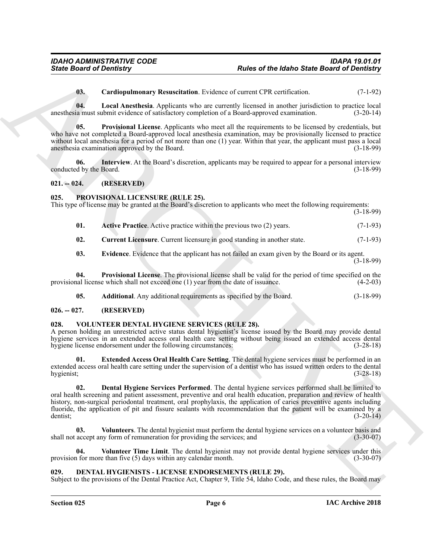<span id="page-5-8"></span><span id="page-5-7"></span><span id="page-5-5"></span>**03. Cardiopulmonary Resuscitation**. Evidence of current CPR certification. (7-1-92)

**04. Local Anesthesia**. Applicants who are currently licensed in another jurisdiction to practice local anesthesia must submit evidence of satisfactory completion of a Board-approved examination. (3-20-14)

**05. Provisional License**. Applicants who meet all the requirements to be licensed by credentials, but who have not completed a Board-approved local anesthesia examination, may be provisionally licensed to practice without local anesthesia for a period of not more than one (1) year. Within that year, the applicant must pass a local anesthesia examination approved by the Board. (3-18-99)

<span id="page-5-6"></span>**06.** Interview. At the Board's discretion, applicants may be required to appear for a personal interview d by the Board. (3-18-99) conducted by the Board.

<span id="page-5-0"></span>**021. -- 024. (RESERVED)**

### <span id="page-5-11"></span><span id="page-5-1"></span>**025. PROVISIONAL LICENSURE (RULE 25).**

This type of license may be granted at the Board's discretion to applicants who meet the following requirements:

(3-18-99)

- <span id="page-5-12"></span>**01.** Active Practice. Active practice within the previous two (2) years. (7-1-93)
- <span id="page-5-15"></span><span id="page-5-14"></span>**02.** Current Licensure. Current licensure in good standing in another state.  $(7-1-93)$
- <span id="page-5-10"></span>**03. Evidence**. Evidence that the applicant has not failed an exam given by the Board or its agent.  $(3-18-99)$

**04. Provisional License**. The provisional license shall be valid for the period of time specified on the provisional license which shall not exceed one  $(1)$  year from the date of issuance.  $(4-2-03)$ 

<span id="page-5-16"></span><span id="page-5-13"></span>**05. Additional**. Any additional requirements as specified by the Board. (3-18-99)

### <span id="page-5-2"></span>**026. -- 027. (RESERVED)**

### <span id="page-5-3"></span>**028. VOLUNTEER DENTAL HYGIENE SERVICES (RULE 28).**

A person holding an unrestricted active status dental hygienist's license issued by the Board may provide dental hygiene services in an extended access oral health care setting without being issued an extended access dental hygiene license endorsement under the following circumstances: (3-28-18)

<span id="page-5-18"></span><span id="page-5-17"></span>**01. Extended Access Oral Health Care Setting**. The dental hygiene services must be performed in an extended access oral health care setting under the supervision of a dentist who has issued written orders to the dental hygienist; (3-28-18)

Since Board of Development, Renovations and Renovation of the Maho Since Board of Development<br>
16. Leadin American Archives who are contrast, Players and the system of the C-1-1-2<br>
16. Leadin American Archives who are con **02. Dental Hygiene Services Performed**. The dental hygiene services performed shall be limited to oral health screening and patient assessment, preventive and oral health education, preparation and review of health history, non-surgical periodontal treatment, oral prophylaxis, the application of caries preventive agents including fluoride, the application of pit and fissure sealants with recommendation that the patient will be examined by a dentist; (3-20-14)

<span id="page-5-20"></span>**03. Volunteers**. The dental hygienist must perform the dental hygiene services on a volunteer basis and shall not accept any form of remuneration for providing the services; and  $(3-30-07)$ 

<span id="page-5-19"></span>**04. Volunteer Time Limit**. The dental hygienist may not provide dental hygiene services under this provision for more than five (5) days within any calendar month. (3-30-07)

### <span id="page-5-9"></span><span id="page-5-4"></span>**029. DENTAL HYGIENISTS - LICENSE ENDORSEMENTS (RULE 29).**

Subject to the provisions of the Dental Practice Act, Chapter 9, Title 54, Idaho Code, and these rules, the Board may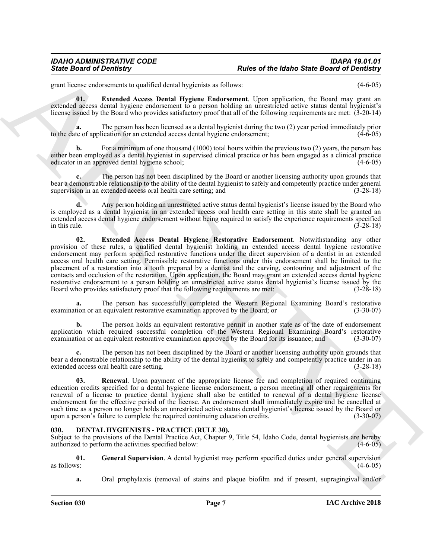<span id="page-6-1"></span>grant license endorsements to qualified dental hygienists as follows: (4-6-05)

**01. Extended Access Dental Hygiene Endorsement**. Upon application, the Board may grant an extended access dental hygiene endorsement to a person holding an unrestricted active status dental hygienist's license issued by the Board who provides satisfactory proof that all of the following requirements are met: (3-20-14)

**a.** The person has been licensed as a dental hygienist during the two (2) year period immediately prior to the date of application for an extended access dental hygiene endorsement;  $(4-\hat{6}-05)$ 

For a minimum of one thousand (1000) total hours within the previous two (2) years, the person has either been employed as a dental hygienist in supervised clinical practice or has been engaged as a clinical practice educator in an approved dental hygiene school; (4-6-05)

**c.** The person has not been disciplined by the Board or another licensing authority upon grounds that bear a demonstrable relationship to the ability of the dental hygienist to safely and competently practice under general supervision in an extended access oral health care setting; and  $(3-28-18)$ 

<span id="page-6-2"></span>**d.** Any person holding an unrestricted active status dental hygienist's license issued by the Board who is employed as a dental hygienist in an extended access oral health care setting in this state shall be granted an extended access dental hygiene endorsement without being required to satisfy the experience requirements specified in this rule.  $(3-28-18)$ 

Since Board of Development is under a state of the labor Since Board of Development ( $\mu_{\text{eff}}$ ) and the state Board of Development is under the state Board of Development is a state of the state Board of  $\mu_{\text{eff}}$  ( $\mu_{$ **02. Extended Access Dental Hygiene Restorative Endorsement**. Notwithstanding any other provision of these rules, a qualified dental hygienist holding an extended access dental hygiene restorative endorsement may perform specified restorative functions under the direct supervision of a dentist in an extended access oral health care setting. Permissible restorative functions under this endorsement shall be limited to the placement of a restoration into a tooth prepared by a dentist and the carving, contouring and adjustment of the contacts and occlusion of the restoration. Upon application, the Board may grant an extended access dental hygiene restorative endorsement to a person holding an unrestricted active status dental hygienist's license issued by the Board who provides satisfactory proof that the following requirements are met: (3-28-18)

**a.** The person has successfully completed the Western Regional Examining Board's restorative examination or an equivalent restorative examination approved by the Board; or (3-30-07)

**b.** The person holds an equivalent restorative permit in another state as of the date of endorsement application which required successful completion of the Western Regional Examining Board's restorative examination or an equivalent restorative examination approved by the Board for its issuance; and (3-30-07)

**c.** The person has not been disciplined by the Board or another licensing authority upon grounds that bear a demonstrable relationship to the ability of the dental hygienist to safely and competently practice under in an extended access oral health care setting. (3-28-18)

<span id="page-6-3"></span>**03. Renewal**. Upon payment of the appropriate license fee and completion of required continuing education credits specified for a dental hygiene license endorsement, a person meeting all other requirements for renewal of a license to practice dental hygiene shall also be entitled to renewal of a dental hygiene license endorsement for the effective period of the license. An endorsement shall immediately expire and be cancelled at such time as a person no longer holds an unrestricted active status dental hygienist's license issued by the Board or upon a person's failure to complete the required continuing education credits. (3-30-07)

### <span id="page-6-4"></span><span id="page-6-0"></span>**030. DENTAL HYGIENISTS - PRACTICE (RULE 30).**

Subject to the provisions of the Dental Practice Act, Chapter 9, Title 54, Idaho Code, dental hygienists are hereby authorized to perform the activities specified below: (4-6-05)

**01.** General Supervision. A dental hygienist may perform specified duties under general supervision as follows: as follows:  $(4-6-05)$ 

<span id="page-6-5"></span>**a.** Oral prophylaxis (removal of stains and plaque biofilm and if present, supragingival and/or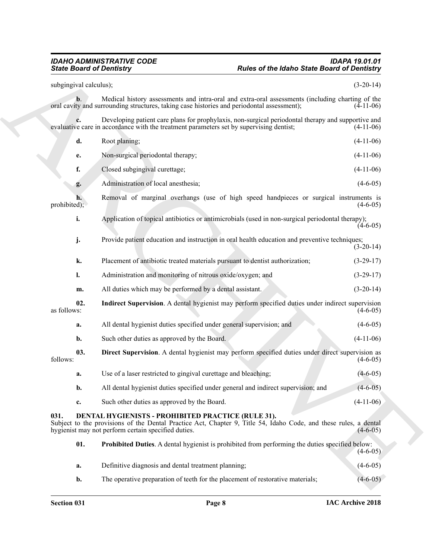### *IDAHO ADMINISTRATIVE CODE IDAPA 19.01.01 State Board of Dentistry Rules of the Idaho State Board of Dentistry*

<span id="page-7-4"></span><span id="page-7-3"></span><span id="page-7-2"></span><span id="page-7-1"></span><span id="page-7-0"></span>

Sinic Board of Denotinity<br>
Sinic Board of Denotingy<br>
Archives and the state of the Mahne Sinic Board of Denoting<br>
Archives and the state of the Mahne Sinic Board of The Mahne Sinic Board<br>
Since the main state of the Mahne subgingival calculus); (3-20-14) **b**. Medical history assessments and intra-oral and extra-oral assessments (including charting of the ty and surrounding structures, taking case histories and periodontal assessment); (4-11-06) oral cavity and surrounding structures, taking case histories and periodontal assessment); **c.** Developing patient care plans for prophylaxis, non-surgical periodontal therapy and supportive and ve care in accordance with the treatment parameters set by supervising dentist; (4-11-06) evaluative care in accordance with the treatment parameters set by supervising dentist; **d.** Root planing; (4-11-06) **e.** Non-surgical periodontal therapy; (4-11-06) **f.** Closed subgingival curettage; (4-11-06) **g.** Administration of local anesthesia; (4-6-05) **h.** Removal of marginal overhangs (use of high speed handpieces or surgical instruments is prohibited);  $(4-6-05)$ **i.** Application of topical antibiotics or antimicrobials (used in non-surgical periodontal therapy);  $(4-6-05)$ **j.** Provide patient education and instruction in oral health education and preventive techniques; (3-20-14) **k.** Placement of antibiotic treated materials pursuant to dentist authorization; (3-29-17) **l.** Administration and monitoring of nitrous oxide/oxygen; and (3-29-17) **m.** All duties which may be performed by a dental assistant. (3-20-14) **02. Indirect Supervision**. A dental hygienist may perform specified duties under indirect supervision as follows:  $(4-6-05)$ **a.** All dental hygienist duties specified under general supervision; and (4-6-05) **b.** Such other duties as approved by the Board. (4-11-06) **03. Direct Supervision**. A dental hygienist may perform specified duties under direct supervision as  $f_{\text{follows}}$ : (4-6-05) **a.** Use of a laser restricted to gingival curettage and bleaching; (4-6-05) **b.** All dental hygienist duties specified under general and indirect supervision; and (4-6-05) **c.** Such other duties as approved by the Board. (4-11-06) **031. DENTAL HYGIENISTS - PROHIBITED PRACTICE (RULE 31).** Subject to the provisions of the Dental Practice Act, Chapter 9, Title 54, Idaho Code, and these rules, a dental hygienist may not perform certain specified duties. (4-6-05) hygienist may not perform certain specified duties. **01. Prohibited Duties**. A dental hygienist is prohibited from performing the duties specified below:  $(4-6-05)$ **a.** Definitive diagnosis and dental treatment planning; (4-6-05)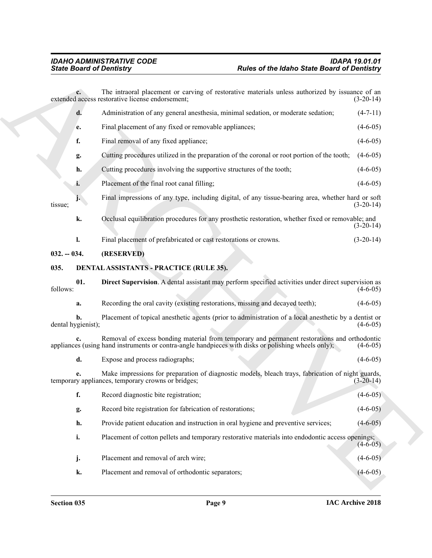<span id="page-8-3"></span><span id="page-8-2"></span><span id="page-8-1"></span><span id="page-8-0"></span>

|                          | <b>State Board of Dentistry</b>                                                                                                                                                                     | <b>Rules of the Idaho State Board of Dentistry</b> |
|--------------------------|-----------------------------------------------------------------------------------------------------------------------------------------------------------------------------------------------------|----------------------------------------------------|
| $c_{\cdot}$              | The intraoral placement or carving of restorative materials unless authorized by issuance of an<br>extended access restorative license endorsement;                                                 | $(3-20-14)$                                        |
| d.                       | Administration of any general anesthesia, minimal sedation, or moderate sedation;                                                                                                                   | $(4-7-11)$                                         |
| e.                       | Final placement of any fixed or removable appliances;                                                                                                                                               | $(4-6-05)$                                         |
| f.                       | Final removal of any fixed appliance;                                                                                                                                                               | $(4-6-05)$                                         |
| g.                       | Cutting procedures utilized in the preparation of the coronal or root portion of the tooth;                                                                                                         | $(4-6-05)$                                         |
| h.                       | Cutting procedures involving the supportive structures of the tooth;                                                                                                                                | $(4-6-05)$                                         |
| i.                       | Placement of the final root canal filling;                                                                                                                                                          | $(4-6-05)$                                         |
| tissue;                  | Final impressions of any type, including digital, of any tissue-bearing area, whether hard or soft                                                                                                  | $(3-20-14)$                                        |
| k.                       | Occlusal equilibration procedures for any prosthetic restoration, whether fixed or removable; and                                                                                                   | $(3-20-14)$                                        |
| l.                       | Final placement of prefabricated or cast restorations or crowns.                                                                                                                                    | $(3-20-14)$                                        |
| $032. - 034.$            | (RESERVED)                                                                                                                                                                                          |                                                    |
| 035.                     | DENTAL ASSISTANTS - PRACTICE (RULE 35).                                                                                                                                                             |                                                    |
| 01.<br>follows:          | Direct Supervision. A dental assistant may perform specified activities under direct supervision as                                                                                                 | $(4-6-05)$                                         |
| a.                       | Recording the oral cavity (existing restorations, missing and decayed teeth);                                                                                                                       | $(4-6-05)$                                         |
| b.<br>dental hygienist); | Placement of topical anesthetic agents (prior to administration of a local anesthetic by a dentist or                                                                                               | $(4-6-05)$                                         |
|                          | Removal of excess bonding material from temporary and permanent restorations and orthodontic<br>appliances (using hand instruments or contra-angle handpieces with disks or polishing wheels only); | $(4-6-05)$                                         |
| d.                       | Expose and process radiographs;                                                                                                                                                                     | $(4-6-05)$                                         |
| e.                       | Make impressions for preparation of diagnostic models, bleach trays, fabrication of night guards,<br>temporary appliances, temporary crowns or bridges;                                             | $(3-20-14)$                                        |
| f.                       | Record diagnostic bite registration;                                                                                                                                                                | $(4-6-05)$                                         |
| g.                       | Record bite registration for fabrication of restorations;                                                                                                                                           | $(4-6-05)$                                         |
| h.                       | Provide patient education and instruction in oral hygiene and preventive services;                                                                                                                  | $(4-6-05)$                                         |
| i.                       | Placement of cotton pellets and temporary restorative materials into endodontic access openings;                                                                                                    | $(4-6-05)$                                         |
| j.                       | Placement and removal of arch wire;                                                                                                                                                                 | $(4-6-05)$                                         |
|                          |                                                                                                                                                                                                     |                                                    |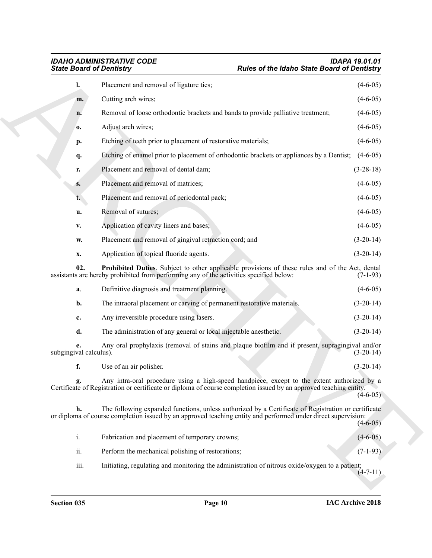<span id="page-9-0"></span>

| <b>State Board of Dentistry</b> |                                                                                                                                                                                                                      | <b>Rules of the Idaho State Board of Dentistry</b> |             |
|---------------------------------|----------------------------------------------------------------------------------------------------------------------------------------------------------------------------------------------------------------------|----------------------------------------------------|-------------|
| $\mathbf{l}$ .                  | Placement and removal of ligature ties;                                                                                                                                                                              |                                                    | $(4-6-05)$  |
| m.                              | Cutting arch wires;                                                                                                                                                                                                  |                                                    | $(4-6-05)$  |
| n.                              | Removal of loose orthodontic brackets and bands to provide palliative treatment;                                                                                                                                     |                                                    | $(4-6-05)$  |
| 0.                              | Adjust arch wires;                                                                                                                                                                                                   |                                                    | $(4-6-05)$  |
| p.                              | Etching of teeth prior to placement of restorative materials;                                                                                                                                                        |                                                    | $(4-6-05)$  |
| q.                              | Etching of enamel prior to placement of orthodontic brackets or appliances by a Dentist;                                                                                                                             |                                                    | $(4-6-05)$  |
| r.                              | Placement and removal of dental dam;                                                                                                                                                                                 |                                                    | $(3-28-18)$ |
| $S_{\bullet}$                   | Placement and removal of matrices;                                                                                                                                                                                   |                                                    | $(4-6-05)$  |
| t.                              | Placement and removal of periodontal pack;                                                                                                                                                                           |                                                    | $(4-6-05)$  |
| u.                              | Removal of sutures;                                                                                                                                                                                                  |                                                    | $(4-6-05)$  |
| V.                              | Application of cavity liners and bases;                                                                                                                                                                              |                                                    | $(4-6-05)$  |
| w.                              | Placement and removal of gingival retraction cord; and                                                                                                                                                               |                                                    | $(3-20-14)$ |
| x.                              | Application of topical fluoride agents.                                                                                                                                                                              |                                                    | $(3-20-14)$ |
| 02.                             | Prohibited Duties. Subject to other applicable provisions of these rules and of the Act, dental<br>assistants are hereby prohibited from performing any of the activities specified below:                           |                                                    | $(7-1-93)$  |
| a.                              | Definitive diagnosis and treatment planning.                                                                                                                                                                         |                                                    | $(4-6-05)$  |
| b.                              | The intraoral placement or carving of permanent restorative materials.                                                                                                                                               |                                                    | $(3-20-14)$ |
| c.                              | Any irreversible procedure using lasers.                                                                                                                                                                             |                                                    | $(3-20-14)$ |
| d.                              | The administration of any general or local injectable anesthetic.                                                                                                                                                    |                                                    | $(3-20-14)$ |
| e.<br>subgingival calculus).    | Any oral prophylaxis (removal of stains and plaque biofilm and if present, supragingival and/or                                                                                                                      |                                                    | $(3-20-14)$ |
| f.                              | Use of an air polisher.                                                                                                                                                                                              |                                                    | $(3-20-14)$ |
|                                 | Any intra-oral procedure using a high-speed handpiece, except to the extent authorized by a<br>Certificate of Registration or certificate or diploma of course completion issued by an approved teaching entity.     |                                                    | $(4-6-05)$  |
| h.                              | The following expanded functions, unless authorized by a Certificate of Registration or certificate<br>or diploma of course completion issued by an approved teaching entity and performed under direct supervision: |                                                    | $(4-6-05)$  |
| i.                              | Fabrication and placement of temporary crowns;                                                                                                                                                                       |                                                    | $(4-6-05)$  |
|                                 |                                                                                                                                                                                                                      |                                                    | $(7-1-93)$  |
| ii.                             | Perform the mechanical polishing of restorations;                                                                                                                                                                    |                                                    |             |
| iii.                            | Initiating, regulating and monitoring the administration of nitrous oxide/oxygen to a patient;                                                                                                                       |                                                    | $(4-7-11)$  |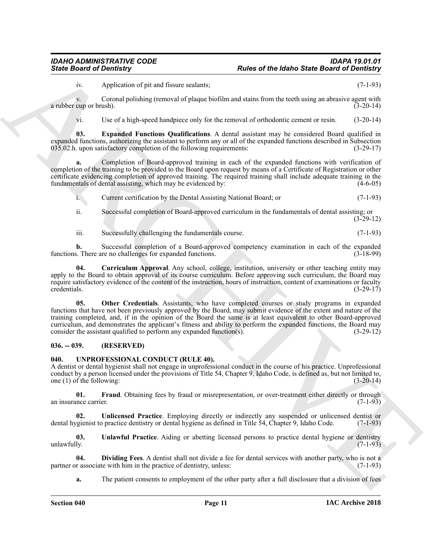iv. Application of pit and fissure sealants; (7-1-93)

v. Coronal polishing (removal of plaque biofilm and stains from the teeth using an abrasive agent with cup or brush).  $(3-20-14)$ a rubber cup or brush).

<span id="page-10-3"></span>vi. Use of a high-speed handpiece only for the removal of orthodontic cement or resin. (3-20-14)

**03. Expanded Functions Qualifications**. A dental assistant may be considered Board qualified in expanded functions, authorizing the assistant to perform any or all of the expanded functions described in Subsection 035.02.h. upon satisfactory completion of the following requirements: (3-29-17)

**a.** Completion of Board-approved training in each of the expanded functions with verification of completion of the training to be provided to the Board upon request by means of a Certificate of Registration or other certificate evidencing completion of approved training. The required training shall include adequate training in the fundamentals of dental assisting, which may be evidenced by: (4-6-05)

i. Current certification by the Dental Assisting National Board; or (7-1-93)

ii. Successful completion of Board-approved curriculum in the fundamentals of dental assisting; or (3-29-12)

<span id="page-10-2"></span>iii. Successfully challenging the fundamentals course. (7-1-93)

**b.** Successful completion of a Board-approved competency examination in each of the expanded functions. There are no challenges for expanded functions. (3-18-99)

<span id="page-10-4"></span>**04. Curriculum Approval**. Any school, college, institution, university or other teaching entity may apply to the Board to obtain approval of its course curriculum. Before approving such curriculum, the Board may require satisfactory evidence of the content of the instruction, hours of instruction, content of examinations or faculty credentials.  $(3-29-17)$ 

Finite Board of Development of the Malenda State Board of Development of the State Board of Development<br>
Archives a constraint of the Malenda State Board of Development of the State Board of Development<br>
STATE CONTINUES T **05. Other Credentials**. Assistants, who have completed courses or study programs in expanded functions that have not been previously approved by the Board, may submit evidence of the extent and nature of the training completed, and, if in the opinion of the Board the same is at least equivalent to other Board-approved curriculum, and demonstrates the applicant's fitness and ability to perform the expanded functions, the Board may consider the assistant qualified to perform any expanded function(s). (3-29-12)

### <span id="page-10-0"></span>**036. -- 039. (RESERVED)**

### <span id="page-10-6"></span><span id="page-10-1"></span>**040. UNPROFESSIONAL CONDUCT (RULE 40).**

A dentist or dental hygienist shall not engage in unprofessional conduct in the course of his practice. Unprofessional conduct by a person licensed under the provisions of Title 54, Chapter 9, Idaho Code, is defined as, but not limited to, one (1) of the following:  $(3-20-14)$ 

<span id="page-10-8"></span>**01.** Fraud. Obtaining fees by fraud or misrepresentation, or over-treatment either directly or through nnce carrier. (7-1-93) an insurance carrier.

<span id="page-10-9"></span>**02. Unlicensed Practice**. Employing directly or indirectly any suspended or unlicensed dentist or dental hygienist to practice dentistry or dental hygiene as defined in Title 54, Chapter 9, Idaho Code. (7-1-93)

<span id="page-10-5"></span>**03. Unlawful Practice**. Aiding or abetting licensed persons to practice dental hygiene or dentistry  $unlawfully.$  (7-1-93)

**04. Dividing Fees**. A dentist shall not divide a fee for dental services with another party, who is not a r associate with him in the practice of dentistry, unless: (7-1-93) partner or associate with him in the practice of dentistry, unless:

<span id="page-10-7"></span>**a.** The patient consents to employment of the other party after a full disclosure that a division of fees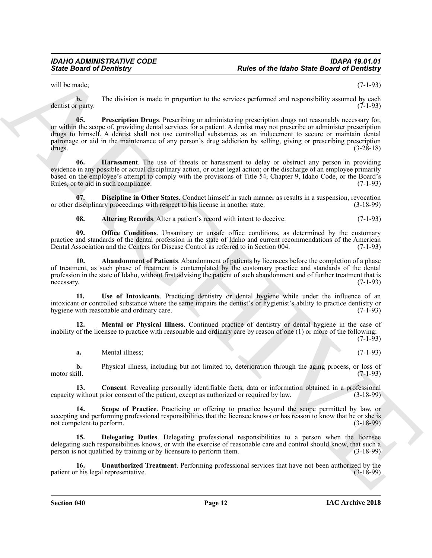will be made; (7-1-93)

<span id="page-11-8"></span>**b.** The division is made in proportion to the services performed and responsibility assumed by each r party. (7-1-93) dentist or party.

Since Board of Deviation"<br>
The des of the ideale Since Board of Deviation"<br>
The deviation is made in proportion to the active performed and responsibility assumed by each<br>
set of the signal strength Deviation in the signa **05. Prescription Drugs**. Prescribing or administering prescription drugs not reasonably necessary for, or within the scope of, providing dental services for a patient. A dentist may not prescribe or administer prescription drugs to himself. A dentist shall not use controlled substances as an inducement to secure or maintain dental patronage or aid in the maintenance of any person's drug addiction by selling, giving or prescribing prescription drugs.  $(3-28-18)$ 

<span id="page-11-5"></span>**06. Harassment**. The use of threats or harassment to delay or obstruct any person in providing evidence in any possible or actual disciplinary action, or other legal action; or the discharge of an employee primarily based on the employee's attempt to comply with the provisions of Title 54, Chapter 9, Idaho Code, or the Board's Rules, or to aid in such compliance. (7-1-93)

**07. Discipline in Other States**. Conduct himself in such manner as results in a suspension, revocation or other disciplinary proceedings with respect to his license in another state. (3-18-99)

<span id="page-11-7"></span><span id="page-11-4"></span><span id="page-11-1"></span><span id="page-11-0"></span>**08.** Altering Records. Alter a patient's record with intent to deceive. (7-1-93)

**09. Office Conditions**. Unsanitary or unsafe office conditions, as determined by the customary practice and standards of the dental profession in the state of Idaho and current recommendations of the American Dental Association and the Centers for Disease Control as referred to in Section 004. (7-1-93)

**10. Abandonment of Patients**. Abandonment of patients by licensees before the completion of a phase of treatment, as such phase of treatment is contemplated by the customary practice and standards of the dental profession in the state of Idaho, without first advising the patient of such abandonment and of further treatment that is necessary. (7-1-93) necessary. (7-1-93)

<span id="page-11-11"></span>**11. Use of Intoxicants**. Practicing dentistry or dental hygiene while under the influence of an intoxicant or controlled substance where the same impairs the dentist's or hygienist's ability to practice dentistry or hygiene with reasonable and ordinary care. (7-1-93)

**12. Mental or Physical Illness**. Continued practice of dentistry or dental hygiene in the case of inability of the licensee to practice with reasonable and ordinary care by reason of one (1) or more of the following:

 $(7-1-93)$ 

<span id="page-11-6"></span><span id="page-11-2"></span>**a.** Mental illness; (7-1-93)

**b.** Physical illness, including but not limited to, deterioration through the aging process, or loss of motor skill. (7-1-93)

**13. Consent**. Revealing personally identifiable facts, data or information obtained in a professional capacity without prior consent of the patient, except as authorized or required by law. (3-18-99)

<span id="page-11-9"></span>**14. Scope of Practice**. Practicing or offering to practice beyond the scope permitted by law, or accepting and performing professional responsibilities that the licensee knows or has reason to know that he or she is not competent to perform. (3-18-99)

<span id="page-11-3"></span>**15. Delegating Duties**. Delegating professional responsibilities to a person when the licensee delegating such responsibilities knows, or with the exercise of reasonable care and control should know, that such a person is not qualified by training or by licensure to perform them. (3-18-99)

<span id="page-11-10"></span>**16.** Unauthorized Treatment. Performing professional services that have not been authorized by the r his legal representative. (3-18-99) patient or his legal representative.

**Section 040 Page 12**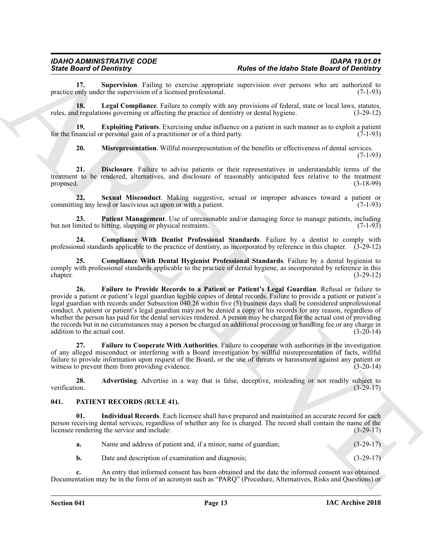<span id="page-12-14"></span>**17. Supervision**. Failing to exercise appropriate supervision over persons who are authorized to only under the supervision of a licensed professional. (7-1-93) practice only under the supervision of a licensed professional.

<span id="page-12-10"></span>**18.** Legal Compliance. Failure to comply with any provisions of federal, state or local laws, statutes, rules, and regulations governing or affecting the practice of dentistry or dental hygiene. (3-29-12)

**19. Exploiting Patients**. Exercising undue influence on a patient in such manner as to exploit a patient nancial or personal gain of a practitioner or of a third party. for the financial or personal gain of a practitioner or of a third party.

<span id="page-12-13"></span><span id="page-12-11"></span><span id="page-12-7"></span><span id="page-12-6"></span>**20. Misrepresentation**. Willful misrepresentation of the benefits or effectiveness of dental services.

(7-1-93)

**21. Disclosure**. Failure to advise patients or their representatives in understandable terms of the treatment to be rendered, alternatives, and disclosure of reasonably anticipated fees relative to the treatment proposed. (3-18-99)

**22.** Sexual Misconduct. Making suggestive, sexual or improper advances toward a patient or ng any lewd or lascivious act upon or with a patient. (7-1-93) committing any lewd or lascivious act upon or with a patient.

<span id="page-12-12"></span>**23. Patient Management**. Use of unreasonable and/or damaging force to manage patients, including but not limited to hitting, slapping or physical restraints. (7-1-93)

<span id="page-12-5"></span>**24. Compliance With Dentist Professional Standards**. Failure by a dentist to comply with professional standards applicable to the practice of dentistry, as incorporated by reference in this chapter. (3-29-12)

<span id="page-12-9"></span><span id="page-12-4"></span>**25. Compliance With Dental Hygienist Professional Standards**. Failure by a dental hygienist to comply with professional standards applicable to the practice of dental hygiene, as incorporated by reference in this chapter. (3-29-12) chapter. (3-29-12)

Finder of the base of the base of the base of the base of the base of the control of Demitterial of Theorem (and the particle of the base of the base of the base of the base of the base of the base of the base of the base **26. Failure to Provide Records to a Patient or Patient's Legal Guardian**. Refusal or failure to provide a patient or patient's legal guardian legible copies of dental records. Failure to provide a patient or patient's legal guardian with records under Subsection 040.26 within five (5) business days shall be considered unprofessional conduct. A patient or patient's legal guardian may not be denied a copy of his records for any reason, regardless of whether the person has paid for the dental services rendered. A person may be charged for the actual cost of providing the records but in no circumstances may a person be charged an additional processing or handling fee or any charge in addition to the actual cost. (3-20-14)

<span id="page-12-8"></span>**27. Failure to Cooperate With Authorities**. Failure to cooperate with authorities in the investigation of any alleged misconduct or interfering with a Board investigation by willful misrepresentation of facts, willful failure to provide information upon request of the Board, or the use of threats or harassment against any patient or witness to prevent them from providing evidence. (3-20-14)

<span id="page-12-3"></span>**28.** Advertising. Advertise in a way that is false, deceptive, misleading or not readily subject to verification. (3-29-17) verification. (3-29-17)

### <span id="page-12-1"></span><span id="page-12-0"></span>**041. PATIENT RECORDS (RULE 41).**

**01. Individual Records**. Each licensee shall have prepared and maintained an accurate record for each person receiving dental services, regardless of whether any fee is charged. The record shall contain the name of the licensee rendering the service and include:<br>(3-29-17) licensee rendering the service and include:

<span id="page-12-2"></span>

| а. | Name and address of patient and, if a minor, name of guardian; | $(3-29-17)$ |
|----|----------------------------------------------------------------|-------------|
|    | Date and description of examination and diagnosis;             | $(3-29-17)$ |

**c.** An entry that informed consent has been obtained and the date the informed consent was obtained. Documentation may be in the form of an acronym such as "PARQ" (Procedure, Alternatives, Risks and Questions) or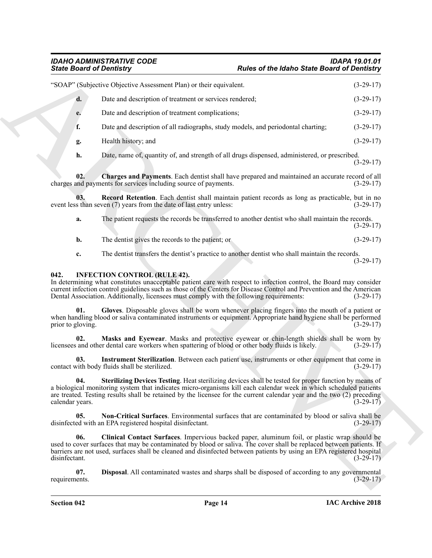### *IDAHO ADMINISTRATIVE CODE IDAPA 19.01.01 State Board of Dentistry Rules of the Idaho State Board of Dentistry*

|                          | <b>State Board of Dentistry</b>                                                                                                                                                                                                                                                                                                                                                 | <b>Rules of the Idaho State Board of Dentistry</b> |             |
|--------------------------|---------------------------------------------------------------------------------------------------------------------------------------------------------------------------------------------------------------------------------------------------------------------------------------------------------------------------------------------------------------------------------|----------------------------------------------------|-------------|
|                          | "SOAP" (Subjective Objective Assessment Plan) or their equivalent.                                                                                                                                                                                                                                                                                                              |                                                    | $(3-29-17)$ |
| d.                       | Date and description of treatment or services rendered;                                                                                                                                                                                                                                                                                                                         |                                                    | $(3-29-17)$ |
| e.                       | Date and description of treatment complications;                                                                                                                                                                                                                                                                                                                                |                                                    | $(3-29-17)$ |
| f.                       | Date and description of all radiographs, study models, and periodontal charting;                                                                                                                                                                                                                                                                                                |                                                    | $(3-29-17)$ |
| g.                       | Health history; and                                                                                                                                                                                                                                                                                                                                                             |                                                    | $(3-29-17)$ |
| h.                       | Date, name of, quantity of, and strength of all drugs dispensed, administered, or prescribed.                                                                                                                                                                                                                                                                                   |                                                    | $(3-29-17)$ |
| 02.                      | Charges and Payments. Each dentist shall have prepared and maintained an accurate record of all<br>charges and payments for services including source of payments.                                                                                                                                                                                                              |                                                    | $(3-29-17)$ |
| 03.                      | Record Retention. Each dentist shall maintain patient records as long as practicable, but in no<br>event less than seven (7) years from the date of last entry unless:                                                                                                                                                                                                          |                                                    | $(3-29-17)$ |
| a.                       | The patient requests the records be transferred to another dentist who shall maintain the records.                                                                                                                                                                                                                                                                              |                                                    | $(3-29-17)$ |
| b.                       | The dentist gives the records to the patient; or                                                                                                                                                                                                                                                                                                                                |                                                    | $(3-29-17)$ |
| c.                       | The dentist transfers the dentist's practice to another dentist who shall maintain the records.                                                                                                                                                                                                                                                                                 |                                                    | $(3-29-17)$ |
| 042.                     | <b>INFECTION CONTROL (RULE 42).</b><br>In determining what constitutes unacceptable patient care with respect to infection control, the Board may consider<br>current infection control guidelines such as those of the Centers for Disease Control and Prevention and the American<br>Dental Association. Additionally, licensees must comply with the following requirements: |                                                    | $(3-29-17)$ |
| 01.<br>prior to gloving. | Gloves. Disposable gloves shall be worn whenever placing fingers into the mouth of a patient or<br>when handling blood or saliva contaminated instruments or equipment. Appropriate hand hygiene shall be performed                                                                                                                                                             |                                                    | $(3-29-17)$ |
| 02.                      | Masks and Eyewear. Masks and protective eyewear or chin-length shields shall be worn by<br>licensees and other dental care workers when spattering of blood or other body fluids is likely.                                                                                                                                                                                     |                                                    | $(3-29-17)$ |
| 03.                      | Instrument Sterilization. Between each patient use, instruments or other equipment that come in<br>contact with body fluids shall be sterilized.                                                                                                                                                                                                                                |                                                    | $(3-29-17)$ |
| 04.<br>calendar years.   | Sterilizing Devices Testing. Heat sterilizing devices shall be tested for proper function by means of<br>a biological monitoring system that indicates micro-organisms kill each calendar week in which scheduled patients<br>are treated. Testing results shall be retained by the licensee for the current calendar year and the two (2) preceding                            |                                                    | $(3-29-17)$ |
| 05.                      | Non-Critical Surfaces. Environmental surfaces that are contaminated by blood or saliva shall be<br>disinfected with an EPA registered hospital disinfectant.                                                                                                                                                                                                                    |                                                    | $(3-29-17)$ |
| 06.                      | Clinical Contact Surfaces. Impervious backed paper, aluminum foil, or plastic wrap should be<br>used to cover surfaces that may be contaminated by blood or saliva. The cover shall be replaced between patients. If<br>barriers are not used, surfaces shall be cleaned and disinfected between patients by using an EPA registered hospital                                   |                                                    | $(3-29-17)$ |
| disinfectant.            |                                                                                                                                                                                                                                                                                                                                                                                 |                                                    |             |

### <span id="page-13-10"></span><span id="page-13-9"></span><span id="page-13-8"></span><span id="page-13-6"></span><span id="page-13-5"></span><span id="page-13-4"></span><span id="page-13-1"></span><span id="page-13-0"></span>**042. INFECTION CONTROL (RULE 42).**

<span id="page-13-7"></span><span id="page-13-3"></span><span id="page-13-2"></span>**Section 042 Page 14**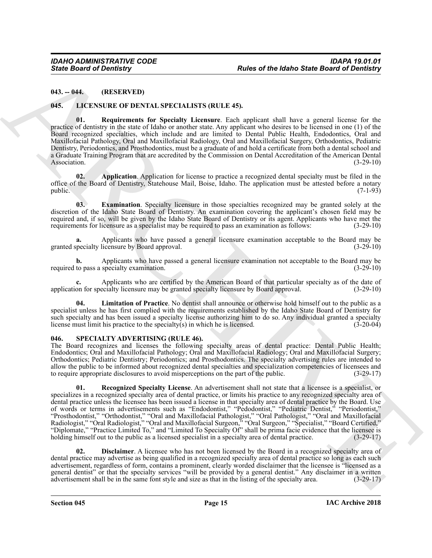### <span id="page-14-0"></span>**043. -- 044. (RESERVED)**

### <span id="page-14-3"></span><span id="page-14-1"></span>**045. LICENSURE OF DENTAL SPECIALISTS (RULE 45).**

<span id="page-14-7"></span>**01. Requirements for Specialty Licensure**. Each applicant shall have a general license for the practice of dentistry in the state of Idaho or another state. Any applicant who desires to be licensed in one (1) of the Board recognized specialties, which include and are limited to Dental Public Health, Endodontics, Oral and Maxillofacial Pathology, Oral and Maxillofacial Radiology, Oral and Maxillofacial Surgery, Orthodontics, Pediatric Dentistry, Periodontics, and Prosthodontics, must be a graduate of and hold a certificate from both a dental school and a Graduate Training Program that are accredited by the Commission on Dental Accreditation of the American Dental Association. (3-29-10)

<span id="page-14-4"></span>**02. Application**. Application for license to practice a recognized dental specialty must be filed in the office of the Board of Dentistry, Statehouse Mail, Boise, Idaho. The application must be attested before a notary public. (7-1-93) public.  $(7-1-93)$ 

<span id="page-14-5"></span>**03. Examination**. Specialty licensure in those specialties recognized may be granted solely at the discretion of the Idaho State Board of Dentistry. An examination covering the applicant's chosen field may be required and, if so, will be given by the Idaho State Board of Dentistry or its agent. Applicants who have met the requirements for licensure as a specialist may be required to pass an examination as follows: (3-29-10)

**a.** Applicants who have passed a general licensure examination acceptable to the Board may be granted specialty licensure by Board approval. (3-29-10)

**b.** Applicants who have passed a general licensure examination not acceptable to the Board may be required to pass a specialty examination. (3-29-10)

**c.** Applicants who are certified by the American Board of that particular specialty as of the date of application for specialty licensure may be granted specialty licensure by Board approval. (3-29-10)

<span id="page-14-6"></span>**04. Limitation of Practice**. No dentist shall announce or otherwise hold himself out to the public as a specialist unless he has first complied with the requirements established by the Idaho State Board of Dentistry for such specialty and has been issued a specialty license authorizing him to do so. Any individual granted a specialty license must limit his practice to the specialty(s) in which he is licensed. (3-20-04) license must limit his practice to the specialty $(s)$  in which he is licensed.

### <span id="page-14-8"></span><span id="page-14-2"></span>**046. SPECIALTY ADVERTISING (RULE 46).**

<span id="page-14-10"></span>The Board recognizes and licenses the following specialty areas of dental practice: Dental Public Health; Endodontics; Oral and Maxillofacial Pathology; Oral and Maxillofacial Radiology; Oral and Maxillofacial Surgery; Orthodontics; Pediatric Dentistry; Periodontics; and Prosthodontics. The specialty advertising rules are intended to allow the public to be informed about recognized dental specialties and specialization competencies of licensees and to require appropriate disclosures to avoid misperceptions on the part of the public. (3-29-17)

Sinte Board of Development to Packet British (RUE 45).<br>
46. Geological of Development of Development in the Sinter of the March Sinter Board of Development of the Sinter Control of the March Sinter Control of the March Si **01. Recognized Specialty License**. An advertisement shall not state that a licensee is a specialist, or specializes in a recognized specialty area of dental practice, or limits his practice to any recognized specialty area of dental practice unless the licensee has been issued a license in that specialty area of dental practice by the Board. Use of words or terms in advertisements such as "Endodontist," "Pedodontist," "Pediatric Dentist," "Periodontist," "Prosthodontist," "Orthodontist," "Oral and Maxillofacial Pathologist," "Oral Pathologist," "Oral and Maxillofacial Radiologist," "Oral Radiologist," "Oral and Maxillofacial Surgeon," "Oral Surgeon," "Specialist," "Board Certified," "Diplomate," "Practice Limited To," and "Limited To Specialty Of" shall be prima facie evidence that the licensee is holding himself out to the public as a licensed specialist in a specialty area of dental practice. (3-29-17)

<span id="page-14-9"></span>**02. Disclaimer**. A licensee who has not been licensed by the Board in a recognized specialty area of dental practice may advertise as being qualified in a recognized specialty area of dental practice so long as each such advertisement, regardless of form, contains a prominent, clearly worded disclaimer that the licensee is "licensed as a general dentist" or that the specialty services "will be provided by a general dentist." Any disclaimer in a written advertisement shall be in the same font style and size as that in the listing of the specialty area. (3-29-17)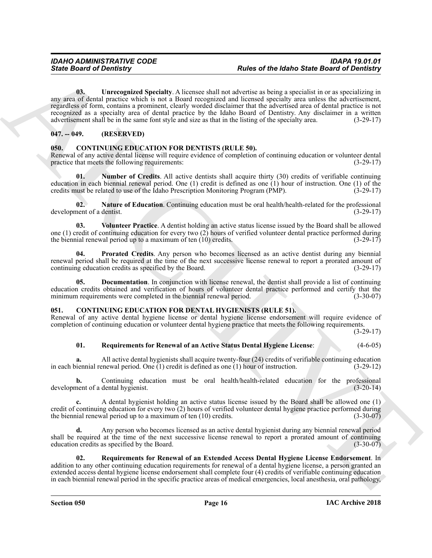Since Board of Development of Hermannian States of the Idaho Since Board of Development of Development of Hermannian States and the Control of Hermannian States and the Control of Hermannian States and the Control of Herm **03. Unrecognized Specialty**. A licensee shall not advertise as being a specialist in or as specializing in any area of dental practice which is not a Board recognized and licensed specialty area unless the advertisement, regardless of form, contains a prominent, clearly worded disclaimer that the advertised area of dental practice is not recognized as a specialty area of dental practice by the Idaho Board of Dentistry. Any disclaimer in a written advertisement shall be in the same font style and size as that in the listing of the specialty area. (3-29-17)

### <span id="page-15-12"></span><span id="page-15-0"></span>**047. -- 049. (RESERVED)**

### <span id="page-15-6"></span><span id="page-15-1"></span>**050. CONTINUING EDUCATION FOR DENTISTS (RULE 50).**

Renewal of any active dental license will require evidence of completion of continuing education or volunteer dental practice that meets the following requirements: (3-29-17)

<span id="page-15-9"></span>**Number of Credits.** All active dentists shall acquire thirty (30) credits of verifiable continuing education in each biennial renewal period. One (1) credit is defined as one (1) hour of instruction. One (1) of the credits must be related to use of the Idaho Prescription Monitoring Program  $(PMP)$ .  $(3-29-17)$ 

<span id="page-15-8"></span>**02. Nature of Education**. Continuing education must be oral health/health-related for the professional development of a dentist. (3-29-17)

<span id="page-15-11"></span>**03. Volunteer Practice**. A dentist holding an active status license issued by the Board shall be allowed one (1) credit of continuing education for every two (2) hours of verified volunteer dental practice performed during<br>the biennial renewal period up to a maximum of ten (10) credits.  $(3-29-17)$ the biennial renewal period up to a maximum of ten  $(10)$  credits.

<span id="page-15-10"></span>**04. Prorated Credits**. Any person who becomes licensed as an active dentist during any biennial renewal period shall be required at the time of the next successive license renewal to report a prorated amount of continuing education credits as specified by the Board. (3-29-17)

<span id="page-15-7"></span>**Documentation**. In conjunction with license renewal, the dentist shall provide a list of continuing education credits obtained and verification of hours of volunteer dental practice performed and certify that the minimum requirements were completed in the biennial renewal period. (3-30-07)

### <span id="page-15-3"></span><span id="page-15-2"></span>**051. CONTINUING EDUCATION FOR DENTAL HYGIENISTS (RULE 51).**

Renewal of any active dental hygiene license or dental hygiene license endorsement will require evidence of completion of continuing education or volunteer dental hygiene practice that meets the following requirements.

(3-29-17)

### <span id="page-15-4"></span>**01. Requirements for Renewal of an Active Status Dental Hygiene License**: (4-6-05)

**a.** All active dental hygienists shall acquire twenty-four (24) credits of verifiable continuing education iennial renewal period. One (1) credit is defined as one (1) hour of instruction. (3-29-12) in each biennial renewal period. One  $(1)$  credit is defined as one  $(1)$  hour of instruction.

**b.** Continuing education must be oral health/health-related education for the professional nent of a dental hygienist. (3-20-14) development of a dental hygienist.

**c.** A dental hygienist holding an active status license issued by the Board shall be allowed one (1) credit of continuing education for every two  $(2)$  hours of verified volunteer dental hygiene practice performed during the biennial renewal period up to a maximum of ten (10) credits. (3-30-07)

**d.** Any person who becomes licensed as an active dental hygienist during any biennial renewal period shall be required at the time of the next successive license renewal to report a prorated amount of continuing education credits as specified by the Board. (3-30-07)

<span id="page-15-5"></span>**02. Requirements for Renewal of an Extended Access Dental Hygiene License Endorsement**. In addition to any other continuing education requirements for renewal of a dental hygiene license, a person granted an extended access dental hygiene license endorsement shall complete four (4) credits of verifiable continuing education in each biennial renewal period in the specific practice areas of medical emergencies, local anesthesia, oral pathology,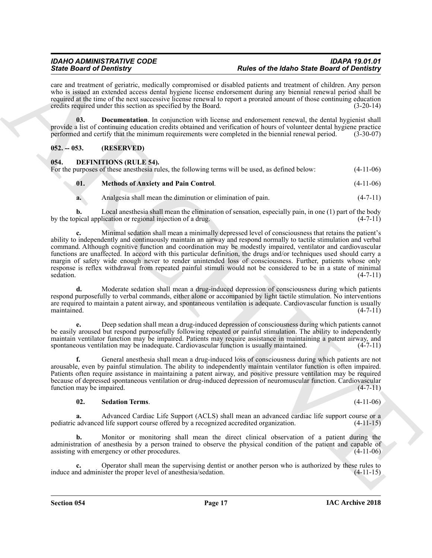care and treatment of geriatric, medically compromised or disabled patients and treatment of children. Any person who is issued an extended access dental hygiene license endorsement during any biennial renewal period shall be required at the time of the next successive license renewal to report a prorated amount of those continuing education credits required under this section as specified by the Board. (3-20-14)

<span id="page-16-2"></span>**03. Documentation**. In conjunction with license and endorsement renewal, the dental hygienist shall provide a list of continuing education credits obtained and verification of hours of volunteer dental hygiene practice performed and certify that the minimum requirements were completed in the biennial renewal period. (3-30-07)

### <span id="page-16-0"></span>**052. -- 053. (RESERVED)**

<span id="page-16-3"></span><span id="page-16-1"></span>

| 054 | <b>DEFINITIONS (RULE 54).</b> |                                                                                                 |             |
|-----|-------------------------------|-------------------------------------------------------------------------------------------------|-------------|
|     |                               | For the purposes of these anesthesia rules, the following terms will be used, as defined below: | $(4-11-06)$ |
|     |                               |                                                                                                 |             |

<span id="page-16-4"></span>**01. Methods of Anxiety and Pain Control**. (4-11-06)

**a.** Analgesia shall mean the diminution or elimination of pain. (4-7-11)

**b.** Local anesthesia shall mean the elimination of sensation, especially pain, in one (1) part of the body pical application or regional injection of a drug. by the topical application or regional injection of a drug.

Sink Book of Density<br>
Sink Book of Density involved in the control of the same of the book of the same division of the same of the same of the same of the same of the same of the same of the same of the same of the same o **c.** Minimal sedation shall mean a minimally depressed level of consciousness that retains the patient's ability to independently and continuously maintain an airway and respond normally to tactile stimulation and verbal command. Although cognitive function and coordination may be modestly impaired, ventilator and cardiovascular functions are unaffected. In accord with this particular definition, the drugs and/or techniques used should carry a margin of safety wide enough never to render unintended loss of consciousness. Further, patients whose only response is reflex withdrawal from repeated painful stimuli would not be considered to be in a state of minimal sedation.  $(4-7-11)$ sedation. (4-7-11)

**d.** Moderate sedation shall mean a drug-induced depression of consciousness during which patients respond purposefully to verbal commands, either alone or accompanied by light tactile stimulation. No interventions are required to maintain a patent airway, and spontaneous ventilation is adequate. Cardiovascular function is usually  $m$ aintained.  $(4-7-11)$ 

**e.** Deep sedation shall mean a drug-induced depression of consciousness during which patients cannot be easily aroused but respond purposefully following repeated or painful stimulation. The ability to independently maintain ventilator function may be impaired. Patients may require assistance in maintaining a patent airway, and spontaneous ventilation may be inadequate. Cardiovascular function is usually maintained. (4-7-11) spontaneous ventilation may be inadequate. Cardiovascular function is usually maintained.

**f.** General anesthesia shall mean a drug-induced loss of consciousness during which patients are not arousable, even by painful stimulation. The ability to independently maintain ventilator function is often impaired. Patients often require assistance in maintaining a patent airway, and positive pressure ventilation may be required because of depressed spontaneous ventilation or drug-induced depression of neuromuscular function. Cardiovascular function may be impaired.

### <span id="page-16-5"></span>**02. Sedation Terms**. (4-11-06)

**a.** Advanced Cardiac Life Support (ACLS) shall mean an advanced cardiac life support course or a pediatric advanced life support course offered by a recognized accredited organization. (4-11-15)

**b.** Monitor or monitoring shall mean the direct clinical observation of a patient during the administration of anesthesia by a person trained to observe the physical condition of the patient and capable of assisting with emergency or other procedures. (4-11-06)

**c.** Operator shall mean the supervising dentist or another person who is authorized by these rules to nd administer the proper level of anesthesia/sedation. (4-11-15) induce and administer the proper level of anesthesia/sedation.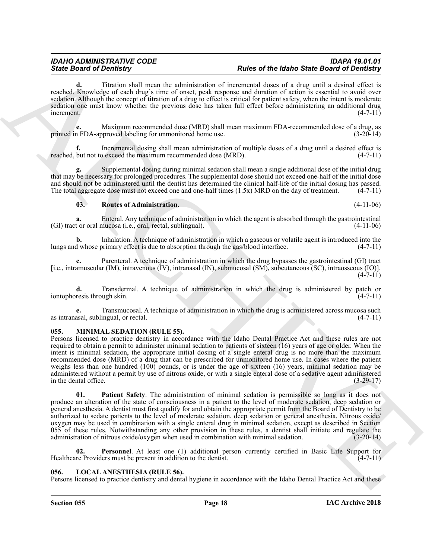**d.** Titration shall mean the administration of incremental doses of a drug until a desired effect is reached. Knowledge of each drug's time of onset, peak response and duration of action is essential to avoid over sedation. Although the concept of titration of a drug to effect is critical for patient safety, when the intent is moderate sedation one must know whether the previous dose has taken full effect before administering an additional drug  $\blacksquare$ increment. (4-7-11)

**e.** Maximum recommended dose (MRD) shall mean maximum FDA-recommended dose of a drug, as <br>n FDA-approved labeling for unmonitored home use. (3-20-14) printed in FDA-approved labeling for unmonitored home use.

**f.** Incremental dosing shall mean administration of multiple doses of a drug until a desired effect is reached, but not to exceed the maximum recommended dose (MRD). (4-7-11)

**g.** Supplemental dosing during minimal sedation shall mean a single additional dose of the initial drug that may be necessary for prolonged procedures. The supplemental dose should not exceed one-half of the initial dose and should not be administered until the dentist has determined the clinical half-life of the initial dosing has passed. The total aggregate dose must not exceed one and one-half times  $(1.5x)$  MRD on the day of treatment.  $(4-7-11)$ 

### <span id="page-17-2"></span>**03. Routes of Administration**. (4-11-06)

**a.** Enteral. Any technique of administration in which the agent is absorbed through the gastrointestinal (GI) tract or oral mucosa (i.e., oral, rectal, sublingual). (4-11-06)

**b.** Inhalation. A technique of administration in which a gaseous or volatile agent is introduced into the lungs and whose primary effect is due to absorption through the gas/blood interface. (4-7-11)

**c.** Parenteral. A technique of administration in which the drug bypasses the gastrointestinal (GI) tract [i.e., intramuscular (IM), intravenous (IV), intranasal (IN), submucosal (SM), subcutaneous (SC), intraosseous (IO)].  $(4 - 7 - 11)$ 

**d.** Transdermal. A technique of administration in which the drug is administered by patch or resis through skin. (4-7-11) iontophoresis through skin.

**e.** Transmucosal. A technique of administration in which the drug is administered across mucosa such as intranasal, sublingual, or rectal. (4-7-11)

### <span id="page-17-4"></span><span id="page-17-0"></span>**055. MINIMAL SEDATION (RULE 55).**

Since **Exhausing** and the since the since of  $\theta$  is the since of  $\theta$  is the since Book of  $\theta$  is the since Book of  $\theta$  is the since Book of  $\theta$  is the since Book of  $\theta$  is the since Book of  $\theta$  is the since Book of Persons licensed to practice dentistry in accordance with the Idaho Dental Practice Act and these rules are not required to obtain a permit to administer minimal sedation to patients of sixteen (16) years of age or older. When the intent is minimal sedation, the appropriate initial dosing of a single enteral drug is no more than the maximum recommended dose (MRD) of a drug that can be prescribed for unmonitored home use. In cases where the patient weighs less than one hundred (100) pounds, or is under the age of sixteen (16) years, minimal sedation may be administered without a permit by use of nitrous oxide, or with a single enteral dose of a sedative agent administered in the dental office. (3-29-17)

<span id="page-17-5"></span>**01. Patient Safety**. The administration of minimal sedation is permissible so long as it does not produce an alteration of the state of consciousness in a patient to the level of moderate sedation, deep sedation or general anesthesia. A dentist must first qualify for and obtain the appropriate permit from the Board of Dentistry to be authorized to sedate patients to the level of moderate sedation, deep sedation or general anesthesia. Nitrous oxide/ oxygen may be used in combination with a single enteral drug in minimal sedation, except as described in Section 055 of these rules. Notwithstanding any other provision in these rules, a dentist shall initiate and regulate the administration of nitrous oxide/oxygen when used in combination with minimal sedation. (3-20-14)

<span id="page-17-6"></span>**02. Personnel**. At least one (1) additional person currently certified in Basic Life Support for Healthcare Providers must be present in addition to the dentist. (4-7-11)

### <span id="page-17-3"></span><span id="page-17-1"></span>**056. LOCAL ANESTHESIA (RULE 56).**

Persons licensed to practice dentistry and dental hygiene in accordance with the Idaho Dental Practice Act and these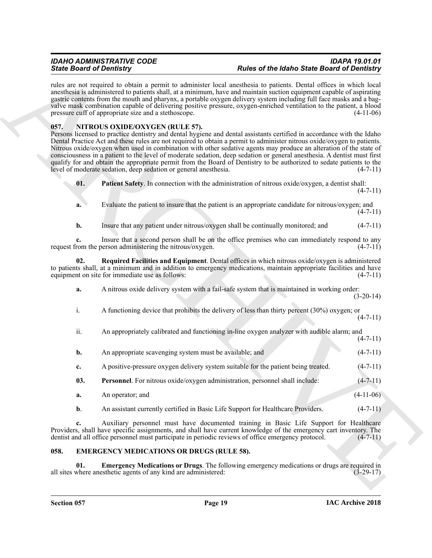rules are not required to obtain a permit to administer local anesthesia to patients. Dental offices in which local anesthesia is administered to patients shall, at a minimum, have and maintain suction equipment capable of aspirating gastric contents from the mouth and pharynx, a portable oxygen delivery system including full face masks and a bagvalve mask combination capable of delivering positive pressure, oxygen-enriched ventilation to the patient, a blood pressure cuff of appropriate size and a stethoscope. (4-11-06)

### <span id="page-18-4"></span><span id="page-18-0"></span>**057. NITROUS OXIDE/OXYGEN (RULE 57).**

Sink Bookmails of Distribution and the simulation between the black of the Bookmails of the Charles Controlline and the Charles Controlline and the Charles Controlline and the Charles Controlline and the Charles Controlli Persons licensed to practice dentistry and dental hygiene and dental assistants certified in accordance with the Idaho Dental Practice Act and these rules are not required to obtain a permit to administer nitrous oxide/oxygen to patients. Nitrous oxide/oxygen when used in combination with other sedative agents may produce an alteration of the state of consciousness in a patient to the level of moderate sedation, deep sedation or general anesthesia. A dentist must first qualify for and obtain the appropriate permit from the Board of Dentistry to be authorized to sedate patients to the level of moderate sedation, deep sedation or general anesthesia.  $(4-7-11)$ level of moderate sedation, deep sedation or general anesthesia.

<span id="page-18-5"></span>

| $\mathbf{01}$ . | <b>Patient Safety</b> . In connection with the administration of nitrous oxide/oxygen, a dentist shall: |            |
|-----------------|---------------------------------------------------------------------------------------------------------|------------|
|                 |                                                                                                         | $(4-7-11)$ |

- **a.** Evaluate the patient to insure that the patient is an appropriate candidate for nitrous/oxygen; and  $(4 - 7 - 11)$
- <span id="page-18-7"></span>**b.** Insure that any patient under nitrous/oxygen shall be continually monitored; and  $(4-7-11)$

**c.** Insure that a second person shall be on the office premises who can immediately respond to any request from the person administering the nitrous/oxygen. (4-7-11)

**02. Required Facilities and Equipment**. Dental offices in which nitrous oxide/oxygen is administered to patients shall, at a minimum and in addition to emergency medications, maintain appropriate facilities and have equipment on site for immediate use as follows: (4-7-11) equipment on site for immediate use as follows:

- **a.** A nitrous oxide delivery system with a fail-safe system that is maintained in working order: (3-20-14)
- i. A functioning device that prohibits the delivery of less than thirty percent (30%) oxygen; or  $(4 - 7 - 11)$
- ii. An appropriately calibrated and functioning in-line oxygen analyzer with audible alarm; and
	- $(4 7 11)$
- **b.** An appropriate scavenging system must be available; and (4-7-11)
- <span id="page-18-6"></span>**c.** A positive-pressure oxygen delivery system suitable for the patient being treated.  $(4-7-11)$
- **03. Personnel**. For nitrous oxide/oxygen administration, personnel shall include: (4-7-11)
- **a.** An operator; and (4-11-06)
- **b.** An assistant currently certified in Basic Life Support for Healthcare Providers. (4-7-11)

**c.** Auxiliary personnel must have documented training in Basic Life Support for Healthcare Providers, shall have specific assignments, and shall have current knowledge of the emergency cart inventory. The dentist and all office personnel must participate in periodic reviews of office emergency protocol. (4-7-11) dentist and all office personnel must participate in periodic reviews of office emergency protocol.

### <span id="page-18-2"></span><span id="page-18-1"></span>**058. EMERGENCY MEDICATIONS OR DRUGS (RULE 58).**

<span id="page-18-3"></span>**01. Emergency Medications or Drugs**. The following emergency medications or drugs are required in all sites where anesthetic agents of any kind are administered: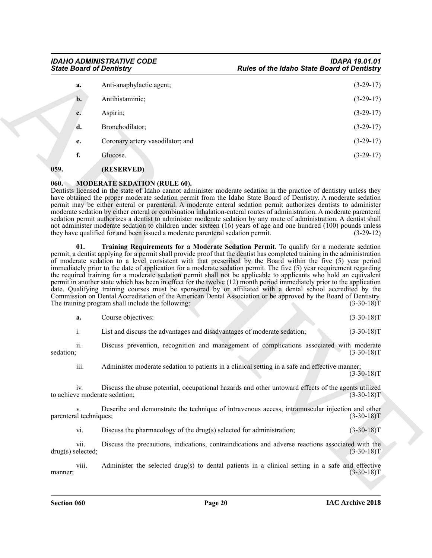| Anti-anaphylactic agent;<br>a.<br>Antihistaminic;<br>$\mathbf{b}$ .<br>Aspirin;<br>c.<br>d.<br>Bronchodilator;<br>Coronary artery vasodilator; and<br>e.<br>f.<br>Glucose.<br>(RESERVED)<br><b>MODERATE SEDATION (RULE 60).</b><br>Dentists licensed in the state of Idaho cannot administer moderate sedation in the practice of dentistry unless they<br>have obtained the proper moderate sedation permit from the Idaho State Board of Dentistry. A moderate sedation<br>permit may be either enteral or parenteral. A moderate enteral sedation permit authorizes dentists to administer<br>moderate sedation by either enteral or combination inhalation-enteral routes of administration. A moderate parenteral<br>sedation permit authorizes a dentist to administer moderate sedation by any route of administration. A dentist shall<br>not administer moderate sedation to children under sixteen (16) years of age and one hundred (100) pounds unless<br>Training Requirements for a Moderate Sedation Permit. To qualify for a moderate sedation<br>01.<br>permit, a dentist applying for a permit shall provide proof that the dentist has completed training in the administration<br>of moderate sedation to a level consistent with that prescribed by the Board within the five (5) year period<br>immediately prior to the date of application for a moderate sedation permit. The five (5) year requirement regarding<br>the required training for a moderate sedation permit shall not be applicable to applicants who hold an equivalent<br>permit in another state which has been in effect for the twelve (12) month period immediately prior to the application<br>date. Qualifying training courses must be sponsored by or affiliated with a dental school accredited by the<br>Commission on Dental Accreditation of the American Dental Association or be approved by the Board of Dentistry.<br>Course objectives:<br>a.<br>i.<br>List and discuss the advantages and disadvantages of moderate sedation;<br>ii.<br>Discuss prevention, recognition and management of complications associated with moderate<br>iii.<br>Administer moderate sedation to patients in a clinical setting in a safe and effective manner;<br>iv.<br>Discuss the abuse potential, occupational hazards and other untoward effects of the agents utilized<br>Describe and demonstrate the technique of intravenous access, intramuscular injection and other<br>V.<br>vi.<br>Discuss the pharmacology of the drug(s) selected for administration;<br>vii.<br>Discuss the precautions, indications, contraindications and adverse reactions associated with the<br>viii.<br>Administer the selected drug(s) to dental patients in a clinical setting in a safe and effective | 060.<br>they have qualified for and been issued a moderate parenteral sedation permit.<br>The training program shall include the following:<br>sedation;<br>to achieve moderate sedation;<br>parenteral techniques;<br>drug(s) selected; | <b>State Board of Dentistry</b> |  | <b>Rules of the Idaho State Board of Dentistry</b>          |
|---------------------------------------------------------------------------------------------------------------------------------------------------------------------------------------------------------------------------------------------------------------------------------------------------------------------------------------------------------------------------------------------------------------------------------------------------------------------------------------------------------------------------------------------------------------------------------------------------------------------------------------------------------------------------------------------------------------------------------------------------------------------------------------------------------------------------------------------------------------------------------------------------------------------------------------------------------------------------------------------------------------------------------------------------------------------------------------------------------------------------------------------------------------------------------------------------------------------------------------------------------------------------------------------------------------------------------------------------------------------------------------------------------------------------------------------------------------------------------------------------------------------------------------------------------------------------------------------------------------------------------------------------------------------------------------------------------------------------------------------------------------------------------------------------------------------------------------------------------------------------------------------------------------------------------------------------------------------------------------------------------------------------------------------------------------------------------------------------------------------------------------------------------------------------------------------------------------------------------------------------------------------------------------------------------------------------------------------------------------------------------------------------------------------------------------------------------------------------------------------------------------------------------------------------------------------------------------------------------------------------------------------------------------------------------------------------------------------------------------------------------------------------------------|------------------------------------------------------------------------------------------------------------------------------------------------------------------------------------------------------------------------------------------|---------------------------------|--|-------------------------------------------------------------|
|                                                                                                                                                                                                                                                                                                                                                                                                                                                                                                                                                                                                                                                                                                                                                                                                                                                                                                                                                                                                                                                                                                                                                                                                                                                                                                                                                                                                                                                                                                                                                                                                                                                                                                                                                                                                                                                                                                                                                                                                                                                                                                                                                                                                                                                                                                                                                                                                                                                                                                                                                                                                                                                                                                                                                                                       |                                                                                                                                                                                                                                          |                                 |  | $(3-29-17)$                                                 |
|                                                                                                                                                                                                                                                                                                                                                                                                                                                                                                                                                                                                                                                                                                                                                                                                                                                                                                                                                                                                                                                                                                                                                                                                                                                                                                                                                                                                                                                                                                                                                                                                                                                                                                                                                                                                                                                                                                                                                                                                                                                                                                                                                                                                                                                                                                                                                                                                                                                                                                                                                                                                                                                                                                                                                                                       |                                                                                                                                                                                                                                          |                                 |  | $(3-29-17)$                                                 |
|                                                                                                                                                                                                                                                                                                                                                                                                                                                                                                                                                                                                                                                                                                                                                                                                                                                                                                                                                                                                                                                                                                                                                                                                                                                                                                                                                                                                                                                                                                                                                                                                                                                                                                                                                                                                                                                                                                                                                                                                                                                                                                                                                                                                                                                                                                                                                                                                                                                                                                                                                                                                                                                                                                                                                                                       |                                                                                                                                                                                                                                          |                                 |  | $(3-29-17)$                                                 |
|                                                                                                                                                                                                                                                                                                                                                                                                                                                                                                                                                                                                                                                                                                                                                                                                                                                                                                                                                                                                                                                                                                                                                                                                                                                                                                                                                                                                                                                                                                                                                                                                                                                                                                                                                                                                                                                                                                                                                                                                                                                                                                                                                                                                                                                                                                                                                                                                                                                                                                                                                                                                                                                                                                                                                                                       |                                                                                                                                                                                                                                          |                                 |  | $(3-29-17)$                                                 |
|                                                                                                                                                                                                                                                                                                                                                                                                                                                                                                                                                                                                                                                                                                                                                                                                                                                                                                                                                                                                                                                                                                                                                                                                                                                                                                                                                                                                                                                                                                                                                                                                                                                                                                                                                                                                                                                                                                                                                                                                                                                                                                                                                                                                                                                                                                                                                                                                                                                                                                                                                                                                                                                                                                                                                                                       |                                                                                                                                                                                                                                          |                                 |  | $(3-29-17)$                                                 |
|                                                                                                                                                                                                                                                                                                                                                                                                                                                                                                                                                                                                                                                                                                                                                                                                                                                                                                                                                                                                                                                                                                                                                                                                                                                                                                                                                                                                                                                                                                                                                                                                                                                                                                                                                                                                                                                                                                                                                                                                                                                                                                                                                                                                                                                                                                                                                                                                                                                                                                                                                                                                                                                                                                                                                                                       |                                                                                                                                                                                                                                          |                                 |  | $(3-29-17)$                                                 |
|                                                                                                                                                                                                                                                                                                                                                                                                                                                                                                                                                                                                                                                                                                                                                                                                                                                                                                                                                                                                                                                                                                                                                                                                                                                                                                                                                                                                                                                                                                                                                                                                                                                                                                                                                                                                                                                                                                                                                                                                                                                                                                                                                                                                                                                                                                                                                                                                                                                                                                                                                                                                                                                                                                                                                                                       |                                                                                                                                                                                                                                          | 059.                            |  |                                                             |
|                                                                                                                                                                                                                                                                                                                                                                                                                                                                                                                                                                                                                                                                                                                                                                                                                                                                                                                                                                                                                                                                                                                                                                                                                                                                                                                                                                                                                                                                                                                                                                                                                                                                                                                                                                                                                                                                                                                                                                                                                                                                                                                                                                                                                                                                                                                                                                                                                                                                                                                                                                                                                                                                                                                                                                                       |                                                                                                                                                                                                                                          |                                 |  | $(3-29-12)$<br>$(3-30-18)T$<br>$(3-30-18)T$<br>$(3-30-18)T$ |
|                                                                                                                                                                                                                                                                                                                                                                                                                                                                                                                                                                                                                                                                                                                                                                                                                                                                                                                                                                                                                                                                                                                                                                                                                                                                                                                                                                                                                                                                                                                                                                                                                                                                                                                                                                                                                                                                                                                                                                                                                                                                                                                                                                                                                                                                                                                                                                                                                                                                                                                                                                                                                                                                                                                                                                                       |                                                                                                                                                                                                                                          |                                 |  | $(3-30-18)T$                                                |
|                                                                                                                                                                                                                                                                                                                                                                                                                                                                                                                                                                                                                                                                                                                                                                                                                                                                                                                                                                                                                                                                                                                                                                                                                                                                                                                                                                                                                                                                                                                                                                                                                                                                                                                                                                                                                                                                                                                                                                                                                                                                                                                                                                                                                                                                                                                                                                                                                                                                                                                                                                                                                                                                                                                                                                                       |                                                                                                                                                                                                                                          |                                 |  | $(3-30-18)T$                                                |
|                                                                                                                                                                                                                                                                                                                                                                                                                                                                                                                                                                                                                                                                                                                                                                                                                                                                                                                                                                                                                                                                                                                                                                                                                                                                                                                                                                                                                                                                                                                                                                                                                                                                                                                                                                                                                                                                                                                                                                                                                                                                                                                                                                                                                                                                                                                                                                                                                                                                                                                                                                                                                                                                                                                                                                                       |                                                                                                                                                                                                                                          |                                 |  | $(3-30-18)T$                                                |
|                                                                                                                                                                                                                                                                                                                                                                                                                                                                                                                                                                                                                                                                                                                                                                                                                                                                                                                                                                                                                                                                                                                                                                                                                                                                                                                                                                                                                                                                                                                                                                                                                                                                                                                                                                                                                                                                                                                                                                                                                                                                                                                                                                                                                                                                                                                                                                                                                                                                                                                                                                                                                                                                                                                                                                                       |                                                                                                                                                                                                                                          |                                 |  | $(3-30-18)T$                                                |
|                                                                                                                                                                                                                                                                                                                                                                                                                                                                                                                                                                                                                                                                                                                                                                                                                                                                                                                                                                                                                                                                                                                                                                                                                                                                                                                                                                                                                                                                                                                                                                                                                                                                                                                                                                                                                                                                                                                                                                                                                                                                                                                                                                                                                                                                                                                                                                                                                                                                                                                                                                                                                                                                                                                                                                                       |                                                                                                                                                                                                                                          |                                 |  | $(3-30-18)T$                                                |
|                                                                                                                                                                                                                                                                                                                                                                                                                                                                                                                                                                                                                                                                                                                                                                                                                                                                                                                                                                                                                                                                                                                                                                                                                                                                                                                                                                                                                                                                                                                                                                                                                                                                                                                                                                                                                                                                                                                                                                                                                                                                                                                                                                                                                                                                                                                                                                                                                                                                                                                                                                                                                                                                                                                                                                                       |                                                                                                                                                                                                                                          |                                 |  | $(3-30-18)T$                                                |
|                                                                                                                                                                                                                                                                                                                                                                                                                                                                                                                                                                                                                                                                                                                                                                                                                                                                                                                                                                                                                                                                                                                                                                                                                                                                                                                                                                                                                                                                                                                                                                                                                                                                                                                                                                                                                                                                                                                                                                                                                                                                                                                                                                                                                                                                                                                                                                                                                                                                                                                                                                                                                                                                                                                                                                                       |                                                                                                                                                                                                                                          | manner;                         |  | $(3-30-18)T$                                                |

### <span id="page-19-3"></span><span id="page-19-2"></span><span id="page-19-1"></span><span id="page-19-0"></span>**060. MODERATE SEDATION (RULE 60).**

| a. | Course objectives: |  |  |  | $(3-30-18)T$ |
|----|--------------------|--|--|--|--------------|
|----|--------------------|--|--|--|--------------|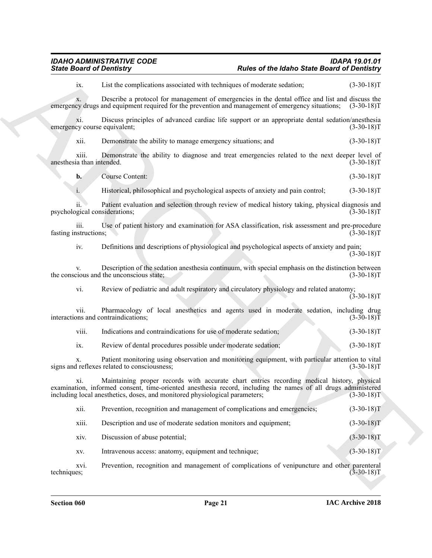### *IDAHO ADMINISTRATIVE CODE IDAPA 19.01.01 State Board of Dentistry Rules of the Idaho State Board of Dentistry*

Sinks Board of Developmentary<br>
Laboratory Containing The Male of the Male Sinks Board of Development<br>
Laboratory (1982-1981)<br>
Laboratory (1982-1981)<br>
Since The Male Sinks of the Male Sinks of the Male Sinks of the Male Sin x. Describe a protocol for management of emergencies in the dental office and list and discuss the cv drugs and equipment required for the prevention and management of emergency situations: (3-30-18) emergency drugs and equipment required for the prevention and management of emergency situations; xi. Discuss principles of advanced cardiac life support or an appropriate dental sedation/anesthesia emergency course equivalent; xii. Demonstrate the ability to manage emergency situations; and (3-30-18)T xiii. Demonstrate the ability to diagnose and treat emergencies related to the next deeper level of anesthesia than intended. (3-30-18)T **b.** Course Content: (3-30-18)T i. Historical, philosophical and psychological aspects of anxiety and pain control; (3-30-18)T ii. Patient evaluation and selection through review of medical history taking, physical diagnosis and psychological considerations; (3-30-18)T iii. Use of patient history and examination for ASA classification, risk assessment and pre-procedure istructions; (3-30-18) fasting instructions; iv. Definitions and descriptions of physiological and psychological aspects of anxiety and pain;  $(3-30-18)T$ 

ix. List the complications associated with techniques of moderate sedation; (3-30-18)T

v. Description of the sedation anesthesia continuum, with special emphasis on the distinction between<br>(3-30-18) the conscious and the unconscious state;

vi. Review of pediatric and adult respiratory and circulatory physiology and related anatomy;  $(3-30-18)T$ 

vii. Pharmacology of local anesthetics and agents used in moderate sedation, including drug interactions and contraindications; (3-30-18)T

viii. Indications and contraindications for use of moderate sedation; (3-30-18)T

ix. Review of dental procedures possible under moderate sedation; (3-30-18)T

x. Patient monitoring using observation and monitoring equipment, with particular attention to vital signs and reflexes related to consciousness;

xi. Maintaining proper records with accurate chart entries recording medical history, physical examination, informed consent, time-oriented anesthesia record, including the names of all drugs administered including local anesthetics, doses, and monitored physiological parameters; (3-30-18)T

xii. Prevention, recognition and management of complications and emergencies; (3-30-18)T

xiii. Description and use of moderate sedation monitors and equipment; (3-30-18)T

xiv. Discussion of abuse potential; (3-30-18)T

xv. Intravenous access: anatomy, equipment and technique; (3-30-18)T

xvi. Prevention, recognition and management of complications of venipuncture and other parenteral techniques; (3-30-18) techniques; (3-30-18)T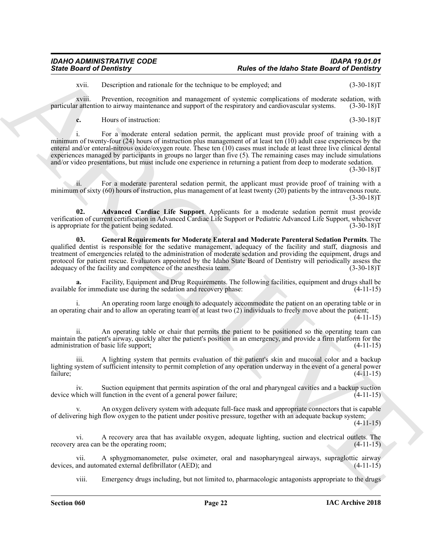### *IDAHO ADMINISTRATIVE CODE IDAPA 19.01.01 State Board of Dentistry Rules of the Idaho State Board of Dentistry*

xvii. Description and rationale for the technique to be employed; and (3-30-18)T

xviii. Prevention, recognition and management of systemic complications of moderate sedation, with r attention to airway maintenance and support of the respiratory and cardiovascular systems. (3-30-18) particular attention to airway maintenance and support of the respiratory and cardiovascular systems.

**c.** Hours of instruction: (3-30-18)T

Sinks Board of Development and New York School of the Maleno School of the Maleno School of Development and the Contemptor of the Maleno School of the Maleno School of the Maleno School of the Maleno School of the Maleno i. For a moderate enteral sedation permit, the applicant must provide proof of training with a minimum of twenty-four (24) hours of instruction plus management of at least ten (10) adult case experiences by the enteral and/or enteral-nitrous oxide/oxygen route. These ten (10) cases must include at least three live clinical dental experiences managed by participants in groups no larger than five (5). The remaining cases may include simulations and/or video presentations, but must include one experience in returning a patient from deep to moderate sedation.

(3-30-18)T

ii. For a moderate parenteral sedation permit, the applicant must provide proof of training with a minimum of sixty (60) hours of instruction, plus management of at least twenty (20) patients by the intravenous route.  $(3-30-18)T$ 

<span id="page-21-0"></span>**02. Advanced Cardiac Life Support**. Applicants for a moderate sedation permit must provide verification of current certification in Advanced Cardiac Life Support or Pediatric Advanced Life Support, whichever is appropriate for the patient being sedated. (3-30-18)T

<span id="page-21-1"></span>**03. General Requirements for Moderate Enteral and Moderate Parenteral Sedation Permits**. The qualified dentist is responsible for the sedative management, adequacy of the facility and staff, diagnosis and treatment of emergencies related to the administration of moderate sedation and providing the equipment, drugs and protocol for patient rescue. Evaluators appointed by the Idaho State Board of Dentistry will periodically assess the adequacy of the facility and competence of the anesthesia team. (3-30-18)T

**a.** Facility, Equipment and Drug Requirements. The following facilities, equipment and drugs shall be available for immediate use during the sedation and recovery phase: (4-11-15)

i. An operating room large enough to adequately accommodate the patient on an operating table or in an operating chair and to allow an operating team of at least two (2) individuals to freely move about the patient;

 $(4-11-15)$ 

ii. An operating table or chair that permits the patient to be positioned so the operating team can maintain the patient's airway, quickly alter the patient's position in an emergency, and provide a firm platform for the administration of basic life support; (4-11-15)

iii. A lighting system that permits evaluation of the patient's skin and mucosal color and a backup lighting system of sufficient intensity to permit completion of any operation underway in the event of a general power failure;  $(4-11-15)$ 

iv. Suction equipment that permits aspiration of the oral and pharyngeal cavities and a backup suction device which will function in the event of a general power failure; (4-11-15)

An oxygen delivery system with adequate full-face mask and appropriate connectors that is capable of delivering high flow oxygen to the patient under positive pressure, together with an adequate backup system;

 $(4-11-15)$ 

vi. A recovery area that has available oxygen, adequate lighting, suction and electrical outlets. The recovery area can be the operating room; (4-11-15)

vii. A sphygmomanometer, pulse oximeter, oral and nasopharyngeal airways, supraglottic airway devices, and automated external defibrillator (AED); and

viii. Emergency drugs including, but not limited to, pharmacologic antagonists appropriate to the drugs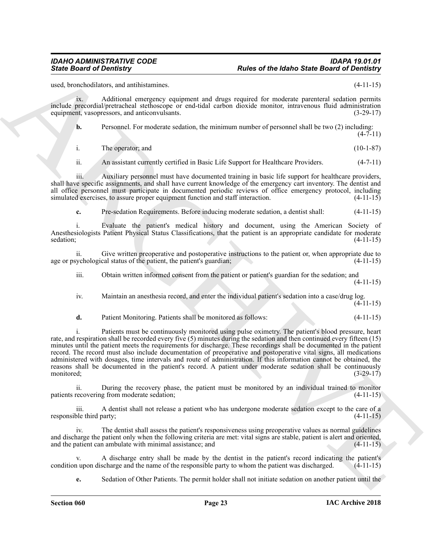used, bronchodilators, and antihistamines. (4-11-15)

ix. Additional emergency equipment and drugs required for moderate parenteral sedation permits include precordial/pretracheal stethoscope or end-tidal carbon dioxide monitor, intravenous fluid administration equipment, vasopressors, and anticonvulsants. (3-29-17)

**b.** Personnel. For moderate sedation, the minimum number of personnel shall be two (2) including:  $(4 - 7 - 11)$ 

i. The operator; and (10-1-87)

ii. An assistant currently certified in Basic Life Support for Healthcare Providers. (4-7-11)

iii. Auxiliary personnel must have documented training in basic life support for healthcare providers, shall have specific assignments, and shall have current knowledge of the emergency cart inventory. The dentist and all office personnel must participate in documented periodic reviews of office emergency protocol, including simulated exercises, to assure proper equipment function and staff interaction.  $(4-11-15)$ simulated exercises, to assure proper equipment function and staff interaction.

**c.** Pre-sedation Requirements. Before inducing moderate sedation, a dentist shall: (4-11-15)

Evaluate the patient's medical history and document, using the American Society of Anesthesiologists Patient Physical Status Classifications, that the patient is an appropriate candidate for moderate sedation; (4-11-15) sedation; (4-11-15)

ii. Give written preoperative and postoperative instructions to the patient or, when appropriate due to age or psychological status of the patient, the patient's guardian;

iii. Obtain written informed consent from the patient or patient's guardian for the sedation; and (4-11-15)

iv. Maintain an anesthesia record, and enter the individual patient's sedation into a case/drug log.  $(4 - 11 - 15)$ 

**d.** Patient Monitoring. Patients shall be monitored as follows: (4-11-15)

Since Board of Develocitors, calculated and the system of the basis of the Board of Develocitors, calculated and<br>
and two stationary and the system of the system of the system of the system of the system of the system of i. Patients must be continuously monitored using pulse oximetry. The patient's blood pressure, heart rate, and respiration shall be recorded every five (5) minutes during the sedation and then continued every fifteen (15) minutes until the patient meets the requirements for discharge. These recordings shall be documented in the patient record. The record must also include documentation of preoperative and postoperative vital signs, all medications administered with dosages, time intervals and route of administration. If this information cannot be obtained, the reasons shall be documented in the patient's record. A patient under moderate sedation shall be continuously monitored;  $(3-29-17)$ 

ii. During the recovery phase, the patient must be monitored by an individual trained to monitor patients recovering from moderate sedation; (4-11-15)

iii. A dentist shall not release a patient who has undergone moderate sedation except to the care of a responsible third party; (4-11-15)

The dentist shall assess the patient's responsiveness using preoperative values as normal guidelines and discharge the patient only when the following criteria are met: vital signs are stable, patient is alert and oriented, and the patient can ambulate with minimal assistance; and (4-11-15)

A discharge entry shall be made by the dentist in the patient's record indicating the patient's scharge and the name of the responsible party to whom the patient was discharged. (4-11-15) condition upon discharge and the name of the responsible party to whom the patient was discharged.

**e.** Sedation of Other Patients. The permit holder shall not initiate sedation on another patient until the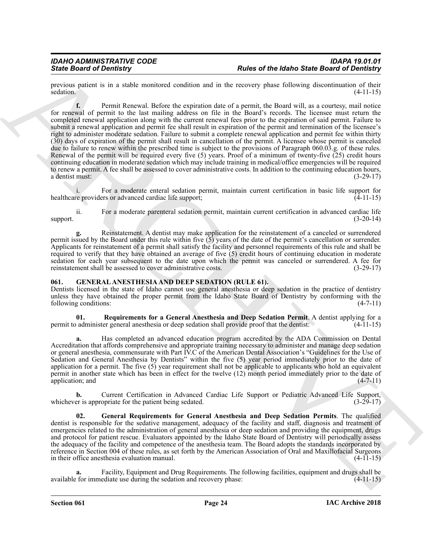previous patient is in a stable monitored condition and in the recovery phase following discontinuation of their sedation. (4-11-15)

Since **Detroit of Development** Readers consider a distance control and the selection of the selection of the selection of the selection of the selection of the selection of the selection of the selection of the selection **f.** Permit Renewal. Before the expiration date of a permit, the Board will, as a courtesy, mail notice for renewal of permit to the last mailing address on file in the Board's records. The licensee must return the completed renewal application along with the current renewal fees prior to the expiration of said permit. Failure to submit a renewal application and permit fee shall result in expiration of the permit and termination of the licensee's right to administer moderate sedation. Failure to submit a complete renewal application and permit fee within thirty (30) days of expiration of the permit shall result in cancellation of the permit. A licensee whose permit is canceled due to failure to renew within the prescribed time is subject to the provisions of Paragraph 060.03.g. of these rules. Renewal of the permit will be required every five  $(5)$  years. Proof of a minimum of twenty-five  $(25)$  credit hours continuing education in moderate sedation which may include training in medical/office emergencies will be required to renew a permit. A fee shall be assessed to cover administrative costs. In addition to the continuing education hours, a dentist must:  $(3-29-17)$ 

i. For a moderate enteral sedation permit, maintain current certification in basic life support for reproviders or advanced cardiac life support; (4-11-15) healthcare providers or advanced cardiac life support;

ii. For a moderate parenteral sedation permit, maintain current certification in advanced cardiac life support.  $(3-20-14)$ 

**g.** Reinstatement. A dentist may make application for the reinstatement of a canceled or surrendered permit issued by the Board under this rule within five (5) years of the date of the permit's cancellation or surrender. Applicants for reinstatement of a permit shall satisfy the facility and personnel requirements of this rule and shall be required to verify that they have obtained an average of five (5) credit hours of continuing education in moderate sedation for each year subsequent to the date upon which the permit was canceled or surrendered. A fee for reinstatement shall be assessed to cover administrative costs. (3-29-17)

### <span id="page-23-1"></span><span id="page-23-0"></span>**061. GENERAL ANESTHESIA AND DEEP SEDATION (RULE 61).**

Dentists licensed in the state of Idaho cannot use general anesthesia or deep sedation in the practice of dentistry unless they have obtained the proper permit from the Idaho State Board of Dentistry by conforming with the following conditions: (4-7-11) following conditions:

<span id="page-23-3"></span>**01.** Requirements for a General Anesthesia and Deep Sedation Permit. A dentist applying for a administer general anesthesia or deep sedation shall provide proof that the dentist: (4-11-15) permit to administer general anesthesia or deep sedation shall provide proof that the dentist:

**a.** Has completed an advanced education program accredited by the ADA Commission on Dental Accreditation that affords comprehensive and appropriate training necessary to administer and manage deep sedation or general anesthesia, commensurate with Part IV.C of the American Dental Association's "Guidelines for the Use of Sedation and General Anesthesia by Dentists" within the five (5) year period immediately prior to the date of application for a permit. The five (5) year requirement shall not be applicable to applicants who hold an equivalent permit in another state which has been in effect for the twelve (12) month period immediately prior to the date of application; and (4-7-11) application; and (4-7-11)

**b.** Current Certification in Advanced Cardiac Life Support or Pediatric Advanced Life Support, er is appropriate for the patient being sedated. (3-29-17) whichever is appropriate for the patient being sedated.

<span id="page-23-2"></span>**02. General Requirements for General Anesthesia and Deep Sedation Permits**. The qualified dentist is responsible for the sedative management, adequacy of the facility and staff, diagnosis and treatment of emergencies related to the administration of general anesthesia or deep sedation and providing the equipment, drugs and protocol for patient rescue. Evaluators appointed by the Idaho State Board of Dentistry will periodically assess the adequacy of the facility and competence of the anesthesia team. The Board adopts the standards incorporated by reference in Section 004 of these rules, as set forth by the American Association of Oral and Maxillofacial Surgeons in their office anesthesia evaluation manual. (4-11-15)

**a.** Facility, Equipment and Drug Requirements. The following facilities, equipment and drugs shall be available for immediate use during the sedation and recovery phase: (4-11-15)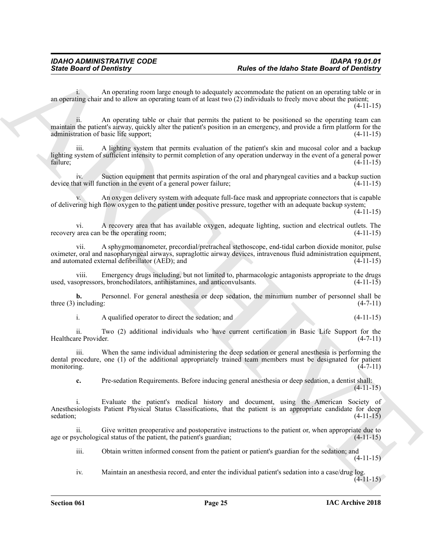i. An operating room large enough to adequately accommodate the patient on an operating table or in an operating chair and to allow an operating team of at least two (2) individuals to freely move about the patient;  $(4-11-15)$ 

ii. An operating table or chair that permits the patient to be positioned so the operating team can maintain the patient's airway, quickly alter the patient's position in an emergency, and provide a firm platform for the administration of basic life support; (4-11-15)

A lighting system that permits evaluation of the patient's skin and mucosal color and a backup lighting system of sufficient intensity to permit completion of any operation underway in the event of a general power failure;  $(4-11-15)$ 

iv. Suction equipment that permits aspiration of the oral and pharyngeal cavities and a backup suction device that will function in the event of a general power failure; (4-11-15)

v. An oxygen delivery system with adequate full-face mask and appropriate connectors that is capable of delivering high flow oxygen to the patient under positive pressure, together with an adequate backup system;

(4-11-15)

vi. A recovery area that has available oxygen, adequate lighting, suction and electrical outlets. The recovery area can be the operating room;

vii. A sphygmomanometer, precordial/pretracheal stethoscope, end-tidal carbon dioxide monitor, pulse oximeter, oral and nasopharyngeal airways, supraglottic airway devices, intravenous fluid administration equipment, and automated external defibrillator  $(AED)$ ; and  $(4-11-15)$ 

viii. Emergency drugs including, but not limited to, pharmacologic antagonists appropriate to the drugs used, vasopressors, bronchodilators, antihistamines, and anticonvulsants. (4-11-15)

**b.** Personnel. For general anesthesia or deep sedation, the minimum number of personnel shall be three  $(3)$  including:  $(4-7-11)$ 

i. A qualified operator to direct the sedation; and (4-11-15)

ii. Two (2) additional individuals who have current certification in Basic Life Support for the Healthcare Provider.

iii. When the same individual administering the deep sedation or general anesthesia is performing the dental procedure, one (1) of the additional appropriately trained team members must be designated for patient monitoring.  $(4-7-11)$ 

**c.** Pre-sedation Requirements. Before inducing general anesthesia or deep sedation, a dentist shall:  $(4-11-15)$ 

Since Board of Developing<br>  $R$ <br>  $R$  and  $R$  and  $R$  position  $R$  and  $R$  and  $R$  and  $R$  and  $R$  and  $R$  and  $R$  and  $R$ <br>  $\alpha$ ,  $\alpha$ ,  $\beta$  and  $R$  and  $R$  and  $R$  and  $R$  and  $R$  and  $R$  and  $R$  and  $R$  and  $R$  and  $R$  an i. Evaluate the patient's medical history and document, using the American Society of Anesthesiologists Patient Physical Status Classifications, that the patient is an appropriate candidate for deep sedation;  $(4-11-15)$ 

Give written preoperative and postoperative instructions to the patient or, when appropriate due to age or psychological status of the patient, the patient's guardian; (4-11-15)

iii. Obtain written informed consent from the patient or patient's guardian for the sedation; and (4-11-15)

iv. Maintain an anesthesia record, and enter the individual patient's sedation into a case/drug log.  $(4-11-15)$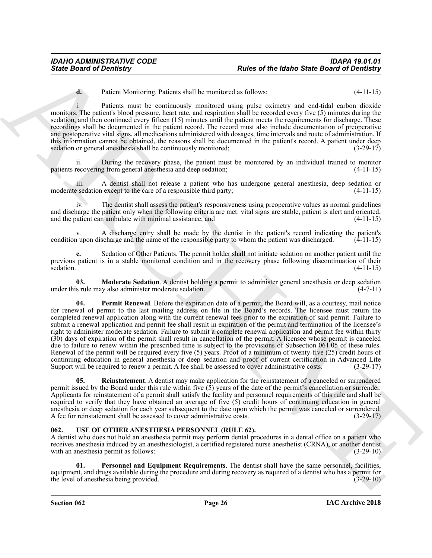**d.** Patient Monitoring. Patients shall be monitored as follows: (4-11-15)

i. Patients must be continuously monitored using pulse oximetry and end-tidal carbon dioxide monitors. The patient's blood pressure, heart rate, and respiration shall be recorded every five (5) minutes during the sedation, and then continued every fifteen (15) minutes until the patient meets the requirements for discharge. These recordings shall be documented in the patient record. The record must also include documentation of preoperative and postoperative vital signs, all medications administered with dosages, time intervals and route of administration. If this information cannot be obtained, the reasons shall be documented in the patient's record. A patient under deep sedation or general anesthesia shall be continuously monitored; (3-29-17)

ii. During the recovery phase, the patient must be monitored by an individual trained to monitor recovering from general anesthesia and deep sedation; (4-11-15) patients recovering from general anesthesia and deep sedation;

iii. A dentist shall not release a patient who has undergone general anesthesia, deep sedation or moderate sedation except to the care of a responsible third party; (4-11-15)

iv. The dentist shall assess the patient's responsiveness using preoperative values as normal guidelines and discharge the patient only when the following criteria are met: vital signs are stable, patient is alert and oriented, and the patient can ambulate with minimal assistance; and  $(4-11-15)$ 

A discharge entry shall be made by the dentist in the patient's record indicating the patient's scharge and the name of the responsible party to whom the patient was discharged. (4-11-15) condition upon discharge and the name of the responsible party to whom the patient was discharged.

**e.** Sedation of Other Patients. The permit holder shall not initiate sedation on another patient until the previous patient is in a stable monitored condition and in the recovery phase following discontinuation of their sedation. (4-11-15)

<span id="page-25-2"></span><span id="page-25-1"></span>**03. Moderate Sedation**. A dentist holding a permit to administer general anesthesia or deep sedation under this rule may also administer moderate sedation. (4-7-11)

Since Board of Develop or Research and the transmission of the Males Since Board of Develop in the Control of the Control of the Control of the Control of the Control of the Control of the Control of the Control of the Co **04. Permit Renewal**. Before the expiration date of a permit, the Board will, as a courtesy, mail notice for renewal of permit to the last mailing address on file in the Board's records. The licensee must return the completed renewal application along with the current renewal fees prior to the expiration of said permit. Failure to submit a renewal application and permit fee shall result in expiration of the permit and termination of the licensee's right to administer moderate sedation. Failure to submit a complete renewal application and permit fee within thirty (30) days of expiration of the permit shall result in cancellation of the permit. A licensee whose permit is canceled due to failure to renew within the prescribed time is subject to the provisions of Subsection 061.05 of these rules. Renewal of the permit will be required every five (5) years. Proof of a minimum of twenty-five (25) credit hours of continuing education in general anesthesia or deep sedation and proof of current certification in Advanced Life Support will be required to renew a permit. A fee shall be assessed to cover administrative costs. (3-29-17)

<span id="page-25-3"></span>**05. Reinstatement**. A dentist may make application for the reinstatement of a canceled or surrendered permit issued by the Board under this rule within five  $(\hat{5})$  years of the date of the permit's cancellation or surrender. Applicants for reinstatement of a permit shall satisfy the facility and personnel requirements of this rule and shall be required to verify that they have obtained an average of five (5) credit hours of continuing education in general anesthesia or deep sedation for each year subsequent to the date upon which the permit was canceled or surrendered. A fee for reinstatement shall be assessed to cover administrative costs. (3-29-17)

### <span id="page-25-4"></span><span id="page-25-0"></span>**062. USE OF OTHER ANESTHESIA PERSONNEL (RULE 62).**

A dentist who does not hold an anesthesia permit may perform dental procedures in a dental office on a patient who receives anesthesia induced by an anesthesiologist, a certified registered nurse anesthetist (CRNA), or another dentist with an anesthesia permit as follows: (3-29-10)

<span id="page-25-5"></span>**01. Personnel and Equipment Requirements**. The dentist shall have the same personnel, facilities, equipment, and drugs available during the procedure and during recovery as required of a dentist who has a permit for the level of anesthesia being provided. (3-29-10)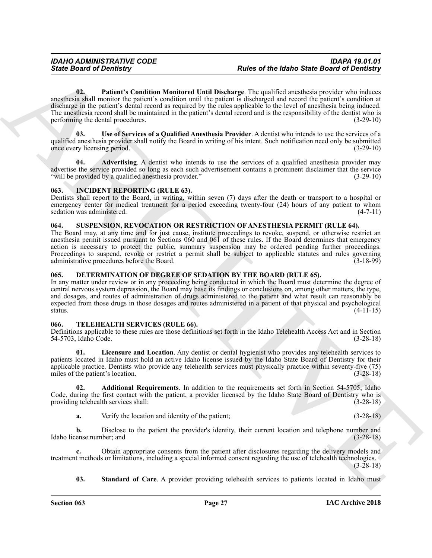Since Board of Deviating"<br>
Bases of the bighets of the bighets and the Combine of Landing the state of the bighets.<br>
Combine the combine of the combine of Landing the state of the compiler of the compiler of the compiler **02. Patient's Condition Monitored Until Discharge**. The qualified anesthesia provider who induces anesthesia shall monitor the patient's condition until the patient is discharged and record the patient's condition at discharge in the patient's dental record as required by the rules applicable to the level of anesthesia being induced. The anesthesia record shall be maintained in the patient's dental record and is the responsibility of the dentist who is performing the dental procedures. (3-29-10)

<span id="page-26-13"></span><span id="page-26-12"></span>**03. Use of Services of a Qualified Anesthesia Provider**. A dentist who intends to use the services of a qualified anesthesia provider shall notify the Board in writing of his intent. Such notification need only be submitted once every licensing period. (3-29-10)

<span id="page-26-11"></span>**04. Advertising**. A dentist who intends to use the services of a qualified anesthesia provider may advertise the service provided so long as each such advertisement contains a prominent disclaimer that the service "will be provided by a qualified anesthesia provider." (3-29-10)

### <span id="page-26-5"></span><span id="page-26-0"></span>**063. INCIDENT REPORTING (RULE 63).**

Dentists shall report to the Board, in writing, within seven (7) days after the death or transport to a hospital or emergency center for medical treatment for a period exceeding twenty-four (24) hours of any patient to whom sedation was administered. (4-7-11)

### <span id="page-26-6"></span><span id="page-26-1"></span>**064. SUSPENSION, REVOCATION OR RESTRICTION OF ANESTHESIA PERMIT (RULE 64).**

The Board may, at any time and for just cause, institute proceedings to revoke, suspend, or otherwise restrict an anesthesia permit issued pursuant to Sections 060 and 061 of these rules. If the Board determines that emergency action is necessary to protect the public, summary suspension may be ordered pending further proceedings. Proceedings to suspend, revoke or restrict a permit shall be subject to applicable statutes and rules governing<br>administrative procedures before the Board. (3-18-99) administrative procedures before the Board.

### <span id="page-26-4"></span><span id="page-26-2"></span>**065. DETERMINATION OF DEGREE OF SEDATION BY THE BOARD (RULE 65).**

In any matter under review or in any proceeding being conducted in which the Board must determine the degree of central nervous system depression, the Board may base its findings or conclusions on, among other matters, the type, and dosages, and routes of administration of drugs administered to the patient and what result can reasonably be expected from those drugs in those dosages and routes administered in a patient of that physical and psychological status.  $(4-11-15)$ 

### <span id="page-26-7"></span><span id="page-26-3"></span>**066. TELEHEALTH SERVICES (RULE 66).**

Definitions applicable to these rules are those definitions set forth in the Idaho Telehealth Access Act and in Section 54-5703, Idaho Code. (3-28-18)

<span id="page-26-9"></span>**01. Licensure and Location**. Any dentist or dental hygienist who provides any telehealth services to patients located in Idaho must hold an active Idaho license issued by the Idaho State Board of Dentistry for their applicable practice. Dentists who provide any telehealth services must physically practice within seventy-five (75) miles of the patient's location. (3-28-18)

**02. Additional Requirements**. In addition to the requirements set forth in Section 54-5705, Idaho Code, during the first contact with the patient, a provider licensed by the Idaho State Board of Dentistry who is providing telehealth services shall: (3-28-18) providing telehealth services shall:

<span id="page-26-8"></span>**a.** Verify the location and identity of the patient; (3-28-18)

**b.** Disclose to the patient the provider's identity, their current location and telephone number and Idaho license number; and (3-28-18)

**c.** Obtain appropriate consents from the patient after disclosures regarding the delivery models and treatment methods or limitations, including a special informed consent regarding the use of telehealth technologies.  $(3-28-18)$ 

<span id="page-26-10"></span>**03.** Standard of Care. A provider providing telehealth services to patients located in Idaho must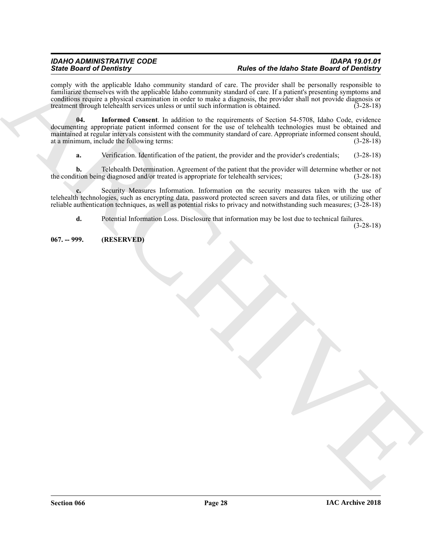### *IDAHO ADMINISTRATIVE CODE IDAPA 19.01.01 State Board of Dentistry Rules of the Idaho State Board of Dentistry*

comply with the applicable Idaho community standard of care. The provider shall be personally responsible to familiarize themselves with the applicable Idaho community standard of care. If a patient's presenting symptoms and conditions require a physical examination in order to make a diagnosis, the provider shall not provide diagnosis or treatment through telehealth services unless or until such information is obtained. (3-28-18)

Since the December of the University bench of the US of the US of the US of the US of the US of the US of the US of the US of the US of the US of the US of the US of the US of the US of the US of the US of the US of the U **04. Informed Consent**. In addition to the requirements of Section 54-5708, Idaho Code, evidence documenting appropriate patient informed consent for the use of telehealth technologies must be obtained and maintained at regular intervals consistent with the community standard of care. Appropriate informed consent should, at a minimum, include the following terms: (3-28-18)

<span id="page-27-1"></span>**a.** Verification. Identification of the patient, the provider and the provider's credentials; (3-28-18)

**b.** Telehealth Determination. Agreement of the patient that the provider will determine whether or not the condition being diagnosed and/or treated is appropriate for telehealth services; (3-28-18)

**c.** Security Measures Information. Information on the security measures taken with the use of telehealth technologies, such as encrypting data, password protected screen savers and data files, or utilizing other reliable authentication techniques, as well as potential risks to privacy and notwithstanding such measures; (3-28-18)

**d.** Potential Information Loss. Disclosure that information may be lost due to technical failures.

(3-28-18)

<span id="page-27-0"></span>**067. -- 999. (RESERVED)**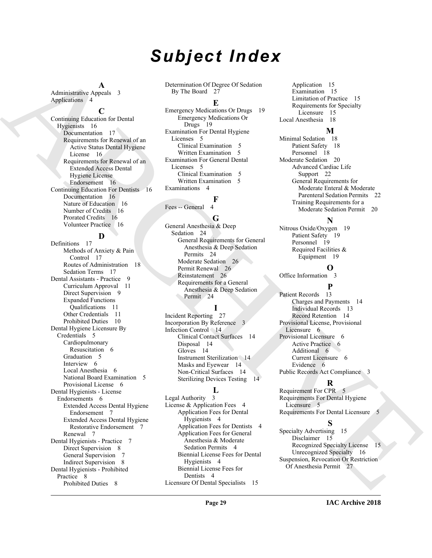# *Subject Index*

**A**

Administrative Appeals 3 Applications 4

### **C**

Continuing Education for Dental Hygienists 16 Documentation 17 Requirements for Renewal of an Active Status Dental Hygiene License 16 Requirements for Renewal of an Extended Access Dental Hygiene License Endorsement 16 Continuing Education For Dentists 16 Documentation 16 Nature of Education 16 Number of Credits 16 Prorated Credits 16 Volunteer Practice 16

### **D**

[A](#page-15-4)dmitration And its interest of the matrix of the communication interest of the state of the state of the state of the state of the state of the state of the state of the state of the state of the state of the state of th Definitions 17 Methods of Anxiety & Pain Control 17 Routes of Administration 18 Sedation Terms 17 Dental Assistants - Practice 9 Curriculum Approval 11 Direct Supervision 9 Expanded Functions Qualifications 11 Other Credentials 11 Prohibited Duties 10 Dental Hygiene Licensure By Credentials 5 Cardiopulmonary Resuscitation 6 Graduation 5 Interview 6 Local Anesthesia 6 National Board Examination 5 Provisional License 6 Dental Hygienists - License Endorsements 6 Extended Access Dental Hygiene Endorsement 7 Extended Access Dental Hygiene Restorative Endorsement 7 Renewal 7 Dental Hygienists - Practice 7 Direct Supervision 8 General Supervision 7 Indirect Supervision 8 Dental Hygienists - Prohibited Practice 8 Prohibited Duties 8

Determination Of Degree Of Sedation By The Board 27

### **E**

Emergency Medications Or Drugs 19 Emergency Medications Or Drugs 19 Examination For Dental Hygiene Licenses 5 Clinical Examination 5 Written Examination 5 Examination For General Dental Licenses 5 Clinical Examination 5 Written Examination 5 Examinations 4

### **F**

Fees -- General

### **G**

General Anesthesia & Deep Sedation 24 General Requirements for General Anesthesia & Deep Sedation Permits 24 Moderate Sedation 26 Permit Renewal 26 Reinstatement 26 Requirements for a General Anesthesia & Deep Sedation Permit 24

### **I**

Incident Reporting 27 Incorporation By Reference 3 Infection Control 14 Clinical Contact Surfaces 14 Disposal 14 Gloves 14 Instrument Sterilization 14 Masks and Eyewear 14 Non-Critical Surfaces 14 Sterilizing Devices Testing 14

### **L**

Legal Authority 3 License & Application Fees 4 Application Fees for Dental Hygienists 4 Application Fees for Dentists 4 Application Fees for General Anesthesia & Moderate Sedation Permits 4 Biennial License Fees for Dental Hygienists 4 Biennial License Fees for Dentists 4 Licensure Of Dental Specialists 15

Application 15 Examination 15 Limitation of Practice 15 Requirements for Specialty Licensure 15 Local Anesthesia 18

### **M**

Minimal Sedation 18 Patient Safety 18 Personnel 18 Moderate Sedation 20 Advanced Cardiac Life Support 22 General Requirements for Moderate Enteral & Moderate Parenteral Sedation Permits 22 Training Requirements for a Moderate Sedation Permit 20

### **N**

Nitrous Oxide/Oxygen 19 Patient Safety 19 Personnel 19 Required Facilities & Equipment 19

### **O**

Office Information 3

### **P**

Patient Records 13 Charges and Payments 14 Individual Records 13 Record Retention 14 Provisional License, Provisional Licensure 6 Provisional Licensure 6 Active Practice 6 Additional 6 Current Licensure 6 Evidence 6 Public Records Act Compliance 3

### **R**

Requirement For CPR 5 Requirements For Dental Hygiene Licensure 5 Requirements For Dental Licensure 5

### **S**

Specialty Advertising 15 Disclaimer 15 Recognized Specialty License 15 Unrecognized Specialty 16 Suspension, Revocation Or Restriction Of Anesthesia Permit 27